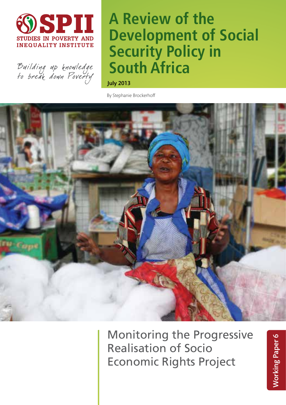

Building up knowledge<br>Fo break down Poverfy

# **A Review of the Development of Social Security Policy in South Africa**

July 2013

By Stephanie Brockerhoff



Monitoring the Progressive Realisation of Socio Economic Rights Project

**Working Paper 6** Working Paper 6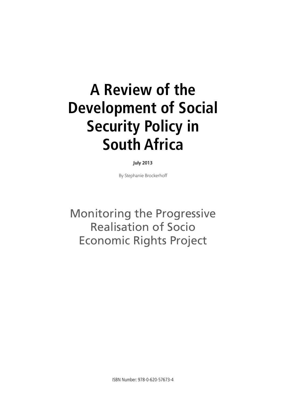# **A Review of the Development of Social Security Policy in South Africa**

July 2013

By Stephanie Brockerhoff

Monitoring the Progressive Realisation of Socio Economic Rights Project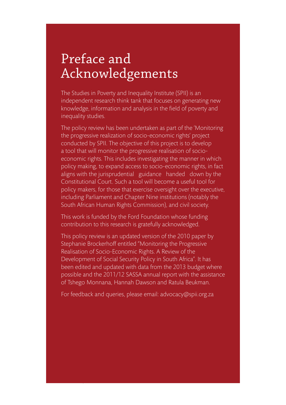# Preface and Acknowledgements

The Studies in Poverty and Inequality Institute (SPII) is an independent research think tank that focuses on generating new knowledge, information and analysis in the field of poverty and inequality studies.

The policy review has been undertaken as part of the 'Monitoring the progressive realization of socio-economic rights' project conducted by SPII. The objective of this project is to develop a tool that will monitor the progressive realisation of socioeconomic rights. This includes investigating the manner in which policy making, to expand access to socio-economic rights, in fact aligns with the jurisprudential guidance handed down by the Constitutional Court. Such a tool will become a useful tool for policy makers, for those that exercise oversight over the executive, including Parliament and Chapter Nine institutions (notably the South African Human Rights Commission), and civil society.

This work is funded by the Ford Foundation whose funding contribution to this research is gratefully acknowledged.

This policy review is an updated version of the 2010 paper by Stephanie Brockerhoff entitled "Monitoring the Progressive Realisation of Socio-Economic Rights. A Review of the Development of Social Security Policy in South Africa". It has been edited and updated with data from the 2013 budget where possible and the 2011/12 SASSA annual report with the assistance of Tshego Monnana, Hannah Dawson and Ratula Beukman.

For feedback and queries, please email: advocacy@spii.org.za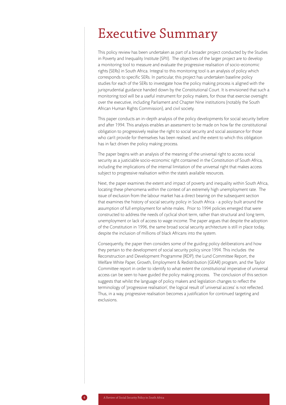# Executive Summary

This policy review has been undertaken as part of a broader project conducted by the Studies in Poverty and Inequality Institute (SPII). The objectives of the larger project are to develop a monitoring tool to measure and evaluate the progressive realisation of socio-economic rights (SERs) in South Africa. Integral to this monitoring tool is an analysis of policy which corresponds to specific SERs. In particular, this project has undertaken baseline policy studies for each of the SERs to investigate how the policy making process is aligned with the jurisprudential guidance handed down by the Constitutional Court. It is envisioned that such a monitoring tool will be a useful instrument for policy makers, for those that exercise oversight over the executive, including Parliament and Chapter Nine institutions (notably the South African Human Rights Commission), and civil society.

This paper conducts an in-depth analysis of the policy developments for social security before and after 1994. This analysis enables an assessment to be made on how far the constitutional obligation to progressively realise the right to social security and social assistance for those who can't provide for themselves has been realised, and the extent to which this obligation has in fact driven the policy making process.

The paper begins with an analysis of the meaning of the universal right to access social security as a justiciable socio-economic right contained in the Constitution of South Africa, including the implications of the internal limitation of the universal right that makes access subject to progressive realisation within the state's available resources.

Next, the paper examines the extent and impact of poverty and inequality within South Africa, locating these phenomena within the context of an extremely high unemployment rate. The issue of exclusion from the labour market has a direct bearing on the subsequent section that examines the history of social security policy in South Africa - a policy built around the assumption of full employment for white males. Prior to 1994 policies emerged that were constructed to address the needs of cyclical short term, rather than structural and long term, unemployment or lack of access to wage income. The paper argues that despite the adoption of the Constitution in 1996, the same broad social security architecture is still in place today, despite the inclusion of millions of black Africans into the system.

Consequently, the paper then considers some of the guiding policy deliberations and how they pertain to the development of social security policy since 1994. This includes the Reconstruction and Development Programme (RDP), the Lund Committee Report, the Welfare White Paper, Growth, Employment & Redistribution (GEAR) program, and the Taylor Committee report in order to identify to what extent the constitutional imperative of universal access can be seen to have guided the policy making process. The conclusion of this section suggests that whilst the language of policy makers and legislation changes to reflect the terminology of 'progressive realisation', the logical result of 'universal access' is not reflected. Thus, in a way, progressive realisation becomes a justification for continued targeting and exclusions.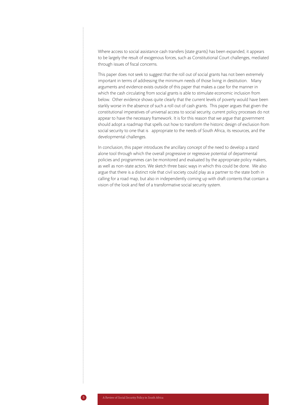Where access to social assistance cash transfers (state grants) has been expanded, it appears to be largely the result of exogenous forces, such as Constitutional Court challenges, mediated through issues of fiscal concerns.

This paper does not seek to suggest that the roll out of social grants has not been extremely important in terms of addressing the minimum needs of those living in destitution. Many arguments and evidence exists outside of this paper that makes a case for the manner in which the cash circulating from social grants is able to stimulate economic inclusion from below. Other evidence shows quite clearly that the current levels of poverty would have been starkly worse in the absence of such a roll out of cash grants. This paper argues that given the constitutional imperatives of universal access to social security, current policy processes do not appear to have the necessary framework. It is for this reason that we argue that government should adopt a roadmap that spells out how to transform the historic design of exclusion from social security to one that is appropriate to the needs of South Africa, its resources, and the developmental challenges.

In conclusion, this paper introduces the ancillary concept of the need to develop a stand alone tool through which the overall progressive or regressive potential of departmental policies and programmes can be monitored and evaluated by the appropriate policy makers, as well as non-state actors. We sketch three basic ways in which this could be done. We also argue that there is a distinct role that civil society could play as a partner to the state both in calling for a road map, but also in independently coming up with draft contents that contain a vision of the look and feel of a transformative social security system.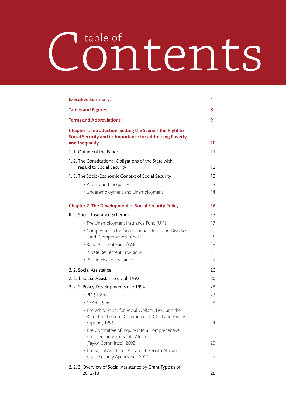# Contents table of

| <b>Executive Summary:</b>                                                                                                                | 4  |
|------------------------------------------------------------------------------------------------------------------------------------------|----|
| <b>Tables and Figures:</b>                                                                                                               | 8  |
| <b>Terms and Abbreviations:</b>                                                                                                          | 9  |
| Chapter 1: Introduction: Setting the Scene - the Right to<br>Social Security and its Importance for addressing Poverty<br>and Inequality | 10 |
| 1.1. Outline of the Paper                                                                                                                | 11 |
| 1.2. The Constitutional Obligations of the State with<br>regard to Social Security                                                       | 12 |
| 1. 3. The Socio-Economic Context of Social Security                                                                                      | 13 |
| • Poverty and Inequality                                                                                                                 | 13 |
| • Underemployment and Unemployment                                                                                                       | 14 |
| <b>Chapter 2: The Development of Social Security Policy</b>                                                                              | 16 |
| II. 1. Social Insurance Schemes                                                                                                          | 17 |
| . The Unemployment Insurance Fund (UIF)                                                                                                  | 17 |
| • Compensation for Occupational Illness and Diseases<br>Fund (Compensation Funds)                                                        | 18 |
| · Road Accident Fund (RAF)                                                                                                               | 19 |
| • Private Retirement Provisions                                                                                                          | 19 |
| • Private Health Insurance                                                                                                               | 19 |
| 2. 2. Social Assistance                                                                                                                  | 20 |
| 2. 2. 1. Social Assistance up till 1992                                                                                                  | 20 |
| 2. 2. 2. Policy Development since 1994                                                                                                   | 23 |
| · RDP, 1994                                                                                                                              | 23 |
| • GEAR, 1996                                                                                                                             | 23 |
| • The White Paper for Social Welfare, 1997 and the<br>Report of the Lund Committee on Child and Family<br>Support, 1996                  | 24 |
| • The Committee of Inquiry into a Comprehensive<br>Social Security For South Africa<br>(Taylor Committee), 2002                          | 25 |
| • The Social Assistance Act and the South African<br>Social Security Agency Act, 2004                                                    | 27 |
| 2.2.3. Overview of Social Assistance by Grant Type as of<br>2012/13                                                                      | 28 |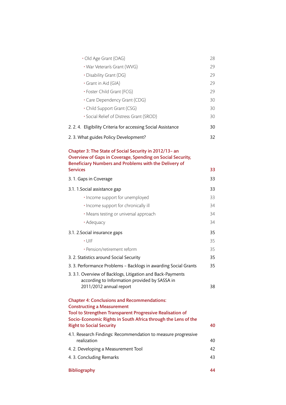| · Old Age Grant (OAG)                                                                                                                                                                              | 28 |
|----------------------------------------------------------------------------------------------------------------------------------------------------------------------------------------------------|----|
| • War Veteran's Grant (WVG)                                                                                                                                                                        | 29 |
| • Disability Grant (DG)                                                                                                                                                                            | 29 |
| • Grant in Aid (GIA)                                                                                                                                                                               | 29 |
| • Foster Child Grant (FCG)                                                                                                                                                                         | 29 |
| • Care Dependency Grant (CDG)                                                                                                                                                                      | 30 |
| • Child Support Grant (CSG)                                                                                                                                                                        | 30 |
| · Social Relief of Distress Grant (SROD)                                                                                                                                                           | 30 |
| 2.2.4. Eligibility Criteria for accessing Social Assistance                                                                                                                                        | 30 |
| 2.3. What guides Policy Development?                                                                                                                                                               | 32 |
| Chapter 3: The State of Social Security in 2012/13- an<br>Overview of Gaps in Coverage, Spending on Social Security,<br>Beneficiary Numbers and Problems with the Delivery of<br><b>Services</b>   | 33 |
|                                                                                                                                                                                                    |    |
| 3.1. Gaps in Coverage                                                                                                                                                                              | 33 |
| 3.1. 1. Social assistance gap                                                                                                                                                                      | 33 |
| · Income support for unemployed                                                                                                                                                                    | 33 |
| • Income support for chronically ill                                                                                                                                                               | 34 |
| • Means testing or universal approach                                                                                                                                                              | 34 |
| • Adequacy                                                                                                                                                                                         | 34 |
| 3.1. 2. Social insurance gaps                                                                                                                                                                      | 35 |
| $\cdot$ UIF                                                                                                                                                                                        | 35 |
| · Pension/retirement reform                                                                                                                                                                        | 35 |
| 3. 2. Statistics around Social Security                                                                                                                                                            | 35 |
| 3. 3. Performance Problems - Backlogs in awarding Social Grants                                                                                                                                    | 35 |
| 3. 3.1. Overview of Backlogs, Litigation and Back-Payments                                                                                                                                         |    |
| according to Information provided by SASSA in<br>2011/2012 annual report                                                                                                                           | 38 |
|                                                                                                                                                                                                    |    |
| <b>Chapter 4: Conclusions and Recommendations:</b>                                                                                                                                                 |    |
| <b>Constructing a Measurement</b><br>Tool to Strengthen Transparent Progressive Realisation of<br>Socio-Economic Rights in South Africa through the Lens of the<br><b>Right to Social Security</b> | 40 |
| 4.1. Research Findings: Recommendation to measure progressive<br>realization                                                                                                                       | 40 |
| 4. 2. Developing a Measurement Tool                                                                                                                                                                | 42 |
| 4.3. Concluding Remarks                                                                                                                                                                            | 43 |
|                                                                                                                                                                                                    |    |
| <b>Bibliography</b>                                                                                                                                                                                | 44 |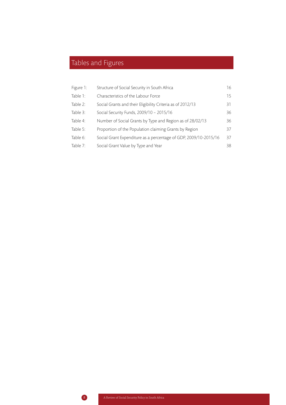# Tables and Figures

| Figure 1: | Structure of Social Security in South Africa                     | 16 |
|-----------|------------------------------------------------------------------|----|
| Table 1:  | Characteristics of the Labour Force                              | 15 |
| Table 2:  | Social Grants and their Eligibility Criteria as of 2012/13       | 31 |
| Table 3:  | Social Security Funds, 2009/10 - 2015/16                         | 36 |
| Table 4:  | Number of Social Grants by Type and Region as of 28/02/13        | 36 |
| Table 5:  | Proportion of the Population claiming Grants by Region           | 37 |
| Table 6:  | Social Grant Expenditure as a percentage of GDP, 2009/10-2015/16 | 37 |
| Table 7:  | Social Grant Value by Type and Year                              | 38 |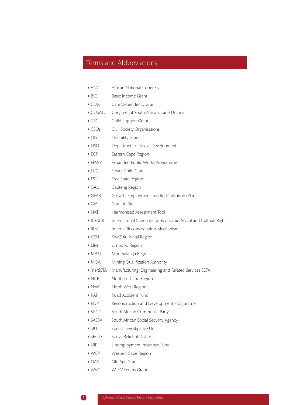## Terms and Abbreviations

- ANC African National Congress
- ▶ BIG Basic Income Grant
- CDG Care Dependency Grant
- COSATU Congress of South African Trade Unions
- CSG Child Support Grant
- CSOs Civil Society Organisations
- DG Disability Grant
- DSD Department of Social Development
- ▶ ECP Eastern Cape Region
- EPWP Expanded Public Works Programme
- ▶ FCG Foster Child Grant
- ▶ FST Free State Region
- GAU Gauteng Region
- GEAR Growth, Employment and Redistribution (Plan)
- GIA Grant in Aid
- HAT Harmonised Assessment Tool
- ICESCR International Covenant on Economic, Social and Cultural Rights
- IRM Internal Reconsideration Mechanism
- ▶ KZN KwaZulu-Natal Region
- LIM Limpopo Region
- MP U Mpumalanga Region
- ▶ MQA Mining Qualification Authority
- merSETA Manufacturing, Engineering and Related Services SETA
- NCP Northern Cape Region
- NWP North West Region
- RAF Road Accident Fund
- RDP Reconstruction and Development Programme
- SACP South African Communist Party
- SASSA South African Social Security Agency
- SIU Special Investigative Unit
- ▶ SROD Social Relief of Distress
- UIF Unemployment Insurance Fund
- ▶ WCP Western Cape Region
- ▶ OAG Old Age Grant
- ▶ WVG War Veteran's Grant
-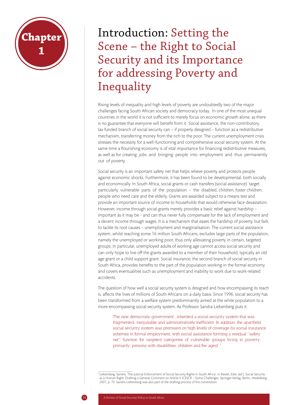# **hapte**1 **1**

Introduction: Setting the Scene – the Right to Social Security and its Importance for addressing Poverty and Inequality

Rising levels of inequality and high levels of poverty are undoubtedly two of the major challenges facing South African society and democracy today. In one of the most unequal countries in the world it is not sufficient to merely focus on economic growth alone, as there is no guarantee that everyone will benefit from it. Social assistance, the non-contributory, tax funded branch of social security can – if properly designed – function as a redistributive mechanism, transferring money from the rich to the poor. The current unemployment crisis stresses the necessity for a well-functioning and comprehensive social security system. At the same time a flourishing economy is of vital importance for financing redistributive measures, as well as for creating jobs and bringing people into employment and thus permanently out of poverty.

Social security is an important safety net that helps relieve poverty and protects people against economic shocks. Furthermore, it has been found to be developmental, both socially and economically. In South Africa, social grants or cash transfers (social assistance) target particularly vulnerable parts of the population – the disabled, children, foster children, people who need care and the elderly. Grants are awarded subject to a means test and provide an important source of income to households that would otherwise face devastation. However, income through social grants merely provides a basic relief against hardship – important as it may be - and can thus never fully compensate for the lack of employment and a decent income through wages. It is a mechanism that eases the hardship of poverty, but fails to tackle its root causes – unemployment and marginalisation. The current social assistance system, whilst reaching some 16 million South Africans, excludes large parts of the population, namely the unemployed or working poor, thus only alleviating poverty in certain, targeted groups. In particular, unemployed adults of working age cannot access social security and can only hope to live off the grants awarded to a member of their household, typically an old age grant or a child support grant. Social insurance, the second branch of social security in South Africa, provides benefits to the part of the population working in the formal economy and covers eventualities such as unemployment and inability to work due to work-related accidents.

The question of how well a social security system is designed and how encompassing its reach is, affects the lives of millions of South Africans on a daily basis. Since 1996, social security has been transformed from a welfare system predominantly aimed at the white population to a more encompassing social security system. As Professor Sandra Liebenberg puts it:

The new democratic government...inherited a social security system that was fragmented, inequitable and administratively inefficient. In addition, the apartheid social security system was premised on high levels of coverage by social insurance schemes in formal employment, with social assistance forming a residual "safety net" function for targeted categories of vulnerable groups living in poverty, primarily, persons with disabilities, children and the aged'.1

1 Liebenberg, Sandra, 'The Judicial Enforcement of Social Security Rights in South Africa', in Riedel, Eibe, (ed.), Social Security as a Human Right: Drafting a General Comment on Article 9 ICESCR – Some Challenges, Springer-Verlag, Berlin, Heidelberg, 2007, p. 70. Sandra Liebenberg was also part of the drafting process of the constitution.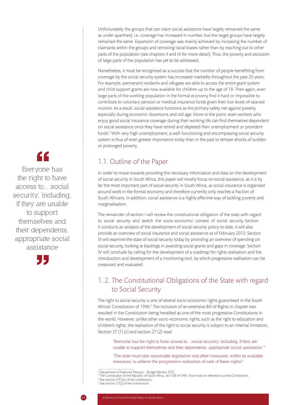Unfortunately, the groups that can claim social assistance have largely remained the same as under apartheid, i.e. coverage has increased in number, but the target groups have largely remained the same. Expansion of coverage was mainly achieved by increasing the number of claimants within the groups and removing racial biases rather than by reaching out to other parts of the population (see chapters II and III for more detail). Thus, the poverty and exclusion of large parts of the population has yet to be addressed.

Nonetheless, it must be recognised as a success that the number of people benefitting from coverage by the social security system has increased markedly throughout the past 20 years. For example, permanent residents and refugees are able to access the entire grant system and child support grants are now available for children up to the age of 18. Then again, even large parts of the working population in the formal economy find it hard or impossible to contribute to voluntary pension or medical insurance funds given their low levels of salaried income. As a result, social assistance functions as the primary safety net against poverty, especially during economic downturns and old age. More to the point, even workers who enjoy good social insurance coverage during their working life can find themselves dependent on social assistance once they have retired and depleted their unemployment or provident funds.<sup>2</sup> With very high unemployment, a well-functioning and encompassing social security system is thus of even greater importance today than in the past to temper shocks of sudden or prolonged poverty.

# 1.1. Outline of the Paper

In order to move towards providing the necessary information and data on the development of social security in South Africa, this paper will mostly focus on social assistance, as it is by far the most important part of social security in South Africa, as social insurance is organised around work in the formal economy and therefore currently only reaches a fraction of South Africans. In addition, social assistance is a highly effective way of tackling poverty and marginalisation.

The remainder of section I will review the constitutional obligation of the state with regard to social security and sketch the socio-economic context of social security. Section II conducts an analysis of the development of social security policy to date. It will also provide an overview of social insurance and social assistance as of February 2013. Section III will examine the state of social security today by providing an overview of spending on social security, looking at backlogs in awarding social grants and gaps in coverage. Section IV will conclude by calling for the development of a roadmap for rights realisation and the introduction and development of a monitoring tool, by which progressive realisation can be measured and evaluated.

# 1. 2. The Constitutional Obligations of the State with regard to Social Security

The right to social security is one of several socio-economic rights guaranteed in the South African Constitution of 1996.<sup>3</sup> The inclusion of an extensive Bill of Rights in chapter two resulted in the Constitution being heralded as one of the most progressive Constitutions in the world. However, unlike other socio-economic rights, such as the right to education and children's rights, the realisation of the right to social security is subject to an internal limitation. Section 27 (1) (c) and section 27 (2) read:

'Everyone has the right to have access to…social security, including, if they are unable to support themselves and their dependents, appropriate social assistance.'4

'The state must take reasonable legislative and other measures, within its available resources, to achieve the progressive realisation of each of these rights'5

Everyone has the right to have access to…social security, including, if they are unable to support themselves and their dependents, appropriate social assistance



<sup>2</sup> Department of National Treasury – Budget Review 2012 3 The Constitution of the Republic of South Africa, Act 108 of 1996. From now on referred to as the Constitution.

<sup>&</sup>lt;sup>4</sup> See section  $27(1)(c)$  of the constitution.<br><sup>5</sup> See section 27(2) of the constitution.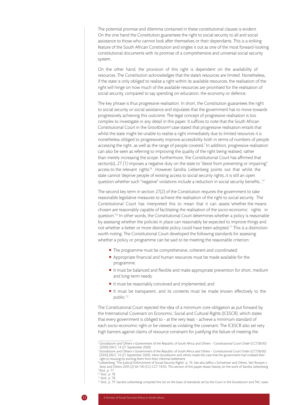The potential promise and dilemma contained in these constitutional clauses is evident. On the one hand the Constitution guarantees the right to social security to all and social assistance to those who cannot look after themselves or their dependants. This is a striking feature of the South African Constitution and singles it out as one of the most forward-looking constitutional documents with its promise of a comprehensive and universal social security system.

On the other hand, the provision of this right is dependent on the availability of resources. The Constitution acknowledges that the state's resources are limited. Nonetheless, if the state is only obliged to realise a right within its available resources, the realisation of the right will hinge on how much of the available resources are prioritised for the realisation of social security, compared to say spending on education, the economy or defence.

The key phrase is thus progressive realisation. In short, the Constitution guarantees the right to social security or social assistance and stipulates that the government has to move towards progressively achieving this outcome. The legal concept of progressive realisation is too complex to investigate in any detail in this paper. It suffices to note that the South African Constitutional Court in the Grootboom<sup>6</sup> case stated that progressive realisation entails that whilst the state might be unable to realise a right immediately due to limited resources it is nonetheless obliged to progressively improve accessibility both in terms of numbers of people accessing the right, as well as the range of people covered.7 In addition, progressive realisation can also be seen as referring to improving the quality of the right being realised, rather than merely increasing the scope. Furthermore, 'the Constitutional Court has affirmed that section(s)…27 (1) imposes a negative duty on the state to "desist from preventing or impairing" access to the relevant rights.<sup>18</sup> However, Sandra Liebenberg points out that whilst the state cannot 'deprive people of existing access to social security rights…it is still an open question whether such "negative" violations include a reduction in social security benefits...'.<sup>9</sup>

The second key term in section 27(2) of the Constitution requires the government to take reasonable legislative measures to achieve the realisation of the right to social security. The Constitutional Court has interpreted this to mean that it can assess 'whether the means chosen are reasonably capable of facilitating the realisation of the socio-economic rights in question.'10 In other words, the Constitutional Court determines whether a policy is reasonable by assessing whether the policies in place can reasonably be expected to improve things and not whether a better or more desirable policy could have been adopted.11 This is a distinction worth noting. The Constitutional Court developed the following standards for assessing whether a policy or programme can be said to be meeting the reasonable criterion:

- The programme must be comprehensive, coherent and coordinated;
- Appropriate financial and human resources must be made available for the programme.
- If must be balanced and flexible and make appropriate prevention for short, medium and long-term needs;
- It must be reasonably conceived and implemented; and
- It must be transparent, and its contents must be made known effectively to the public.12

The Constitutional Court rejected the idea of a minimum core obligation as put forward by the International Covenant on Economic, Social and Cultural Rights (ICESCR), which states that every government is obliged to - at the very least - achieve a minimum standard of each socio-economic right or be viewed as violating the covenant. The ICESCR also set very high barriers against claims of resource constraint for justifying the failure of meeting the

<sup>6</sup> Grootboom and Others v Government of the Republic of South Africa and Others - Constitutional Court Order (CCT38/00) [2000] ZACC 14 (21 September 2000).

<sup>7</sup> Grootboom and Others v Government of the Republic of South Africa and Others - Constitutional Court Order (CCT38/00) [2000] ZACC 14 (21 September 2000). Irene Grootboom and others made the case that the government had violated their right to housing by evicting them from their informal settlement.

<sup>8</sup> Liebenberg, 'The Judicial Enforcement of Social Security Rights', p. 76. See also Jaftha v Schoeman and Others; Van Rooyen v Stolz and Others 2005 (2) SA 140 (CC) CCT 74/03. This section of this paper draws heavily on the work of Sandra Liebenberg. 9 Ibid., p. 77.

<sup>10</sup> Ibid., p. 78.

<sup>11</sup> Ibid., p. 78.

<sup>&</sup>lt;sup>12</sup> Ibid., p. 79. Sandra Liebenberg compiled this list on the basis of standards set by the Court in the Grootboom and TAC cases.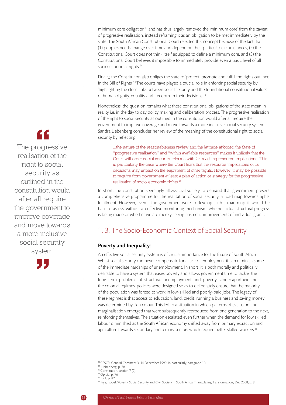minimum core obligation<sup>13</sup> and has thus largely removed the 'minimum core' from the caveat of progressive realisation, instead reframing it as an obligation to be met immediately by the state. The South African Constitutional Court rejected this concept because of the fact that (1) people's needs change over time and depend on their particular circumstances, (2) the Constitutional Court does not think itself equipped to define a minimum core, and (3) the Constitutional Court believes it impossible to immediately provide even a basic level of all socio-economic rights.<sup>14</sup>

Finally, the Constitution also obliges the state to 'protect, promote and fulfill the rights outlined in the Bill of Rights.<sup>'15</sup> The courts have played a crucial role in enforcing social security by 'highlighting the close links between social security and the foundational constitutional values of human dignity, equality and freedom' in their decisions.<sup>16</sup>

Nonetheless, the question remains what these constitutional obligations of the state mean in reality i.e. in the day to day policy making and deliberation process. The progressive realisation of the right to social security as outlined in the constitution would after all require the government to improve coverage and move towards a more inclusive social security system. Sandra Liebenberg concludes her review of the meaning of the constitutional right to social security by reflecting:

...the nature of the reasonableness review and the latitude afforded the State of "progressive realisation" and "within available resources" makes it unlikely that the Court will order social security reforms with far-reaching resource implications. This is particularly the case where the Court fears that the resource implications of its decisions may impact on the enjoyment of other rights. However, it may be possible to require from government at least a plan of action or strategy for the progressive realisation of socio-economic rights. $I<sup>T</sup>$ 

In short, the constitution seemingly allows civil society to demand that government present a comprehensive programme for the realisation of social security, a road map towards rights fulfillment. However, even if the government were to develop such a road map it would be hard to assess, without an effective monitoring mechanism, whether actual structural progress is being made or whether we are merely seeing cosmetic improvements of individual grants.

## 1. 3. The Socio-Economic Context of Social Security

#### Poverty and Inequality:

An effective social security system is of crucial importance for the future of South Africa. Whilst social security can never compensate for a lack of employment it can diminish some of the immediate hardships of unemployment. In short, it is both morally and politically desirable to have a system that eases poverty and allows government time to tackle the long term problems of structural unemployment and poverty. Under apartheid and the colonial regimes, policies were designed so as to deliberately ensure that the majority of the population was forced to work in low-skilled and poorly-paid jobs. The legacy of these regimes is that access to education, land, credit, running a business and saving money was determined by skin colour. This led to a situation in which patterns of exclusion and marginalisation emerged that were subsequently reproduced from one generation to the next, reinforcing themselves. The situation escalated even further when the demand for low skilled labour diminished as the South African economy shifted away from primary extraction and agriculture towards secondary and tertiary sectors which require better skilled workers.<sup>18</sup>



The progressive realisation of the right to social security as outlined in the constitution would after all require the government to improve coverage and move towards a more inclusive social security system



<sup>&</sup>lt;sup>13</sup> CESCR, General Comment 3, 14 December 1990. In particularly, paragraph 10.

<sup>&</sup>lt;sup>14</sup> Liebenberg, p. 78.

<sup>&</sup>lt;sup>15</sup> Constitution, section 7 (2).

<sup>16</sup> Op.cit., p. 76 <sup>17</sup> Ibid., p. 82.

<sup>18</sup> Frye, Isobel, 'Poverty, Social Security and Civil Society in South Africa: Triangulating Transformation', Dec.2008, p. 8.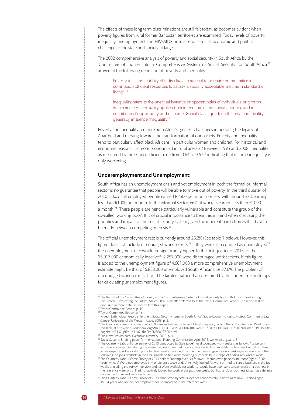The effects of these long term discriminations are still felt today, as becomes evident when poverty figures from rural former Bantustan territories are examined. Today levels of poverty, inequality, unemployment and HIV/AIDS pose a serious social, economic and political challenge to the state and society at large.

The 2002 comprehensive analysis of poverty and social security in South Africa by the 'Committee of Inquiry into a Comprehensive System of Social Security for South Africa'19 arrived at the following definition of poverty and inequality:

Poverty is '…the inability of individuals, households or entire communities to command sufficient resources to satisfy a socially acceptable minimum standard of living'.20

Inequality refers to the unequal benefits or opportunities of individuals or groups within society. Inequality applies both to economic and social aspects, and to conditions of opportunity and outcome. Social class, gender, ethnicity, and locality generally influence inequality.<sup>21</sup>

Poverty and inequality remain South Africa's greatest challenges in undoing the legacy of Apartheid and moving towards the transformation of our society. Poverty and inequality tend to particularly affect black Africans, in particular women and children. For historical and economic reasons it is more pronounced in rural areas.22 Between 1995 and 2008, inequality as measured by the Gini coefficient rose from 0.64 to 0.67<sup>23</sup> indicating that income inequality is only worsening.

#### Underemployment and Unemployment:

South Africa has an unemployment crisis and yet employment in both the formal or informal sector is no guarantee that people will be able to move out of poverty. In the third quarter of 2010, 50% of all employed people earned R2500 per month or less, with around 33% earning less than R1000 per month. In the informal sector, 66% of workers earned less than R1000 a month.24 These people are hence particularly vulnerable and constitute the group of the so-called 'working poor'. It is of crucial importance to bear this in mind when discussing the priorities and impact of the social security system given the inherent hard choices that have to be made between competing interests.<sup>25</sup>

The official unemployment rate is currently around 25.2% (See table 1 below). However, this figure does not include discouraged work seekers.<sup>26</sup> If they were also counted as unemployed<sup>27</sup>, the unemployment rate would be significantly higher. In the first quarter of 2013, of the 15,017,000 economically inactive<sup>28</sup>, 2,257,000 were discouraged work seekers. If this figure is added to the unemployment figure of 4,601,000 a more comprehensive unemployment estimate might be that of 6,858,000 unemployed South Africans, i.e 37.6%. The problem of discouraged work seekers should be tackled, rather than obscured by the current methodology for calculating unemployment figures.

<sup>&</sup>lt;sup>19</sup> The Report of the Committee of Inquiry into a Comprehensive System of Social Security for South Africa, Transforming the Present – Protecting the Future, March 2002. Hereafter referred to as the Taylor Committee Report. The report will be discussed in more detail in section II of this paper.

<sup>20</sup> Taylor Committee Report, p. 15.

<sup>&</sup>lt;sup>21</sup> Taylor Committee Report, p. 16.

<sup>&</sup>lt;sup>22</sup> Mpedi, Lethlhokwa, George 'Pertinent Social Security Issues in South Africa', Socio-Economic Rights Project, Community Law Centre, University of the Western Cape, 2008, p. 2.<br><sup>23</sup>The Gini coefficient is a ration in which 0 signifies total equality and 1 total inequality. South Africa: Country Brief, World Bank.

Available at http://web.worldbank.org/WBSITE/EXTERNAL/COUNTRIES/AFRICAEXT/SOUTHAFRICAEXTN/0,,menu PK:368086~ pagePK:141132~piPK:141107~theSitePK:368057,00.html.

<sup>&</sup>lt;sup>24</sup> The New Growth path, Executive summary, 2010, p. 3

<sup>25</sup> Social Security Briefing paper for the National Planning Commission, April 2011, www.spii.org.za, p. 5

<sup>26</sup> The Quarterly Labour Force Survey of 2013 conducted by StatsSa defines discouraged work seekers as follows: '...a person who was not employed during the reference period, wanted to work, was available to work/start a business but did not take active steps to find work during the last four weeks, provided that the main reason given for not seeking work was any of the following: no jobs available in the area; unable to find work requiring his/her skills; lost hope of finding any kind of work.

<sup>27</sup> The Quarterly Labour Force Survey of 2013 defines "unemployed" as follows: 'Unemployed persons are those (aged 15–64 years) who: a) Were not employed in the reference week and; b) Actively looked for work or tried to start a business in the four weeks preceding the survey interview and; c) Were available for work, i.e. would have been able to start work or a business in the reference week or; d) Had not actively looked for work in the past four weeks but had a job or business to start at a definite date in the future and were available.

<sup>28</sup> The Quarterly Labour Force Survey of 2013 conducted by StatsSa defines economically inactive as follows: 'Persons aged 15–64 years who are neither employed nor unemployed in the reference week.'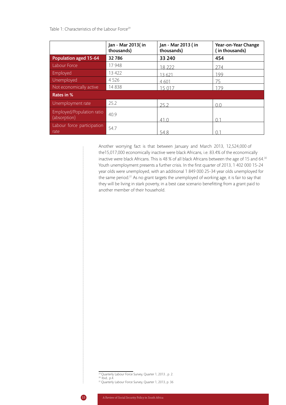Table 1: Characteristics of the Labour Force<sup>29</sup>

|                                           | Jan - Mar 2013(in<br>thousands) | Jan - Mar 2013 (in<br>thousands) | Year-on-Year Change<br>(in thousands) |
|-------------------------------------------|---------------------------------|----------------------------------|---------------------------------------|
| Population aged 15-64                     | 32786                           | 33 240                           | 454                                   |
| Labour Force                              | 17948                           | 18 222                           | 274                                   |
| Employed                                  | 13 4 22                         | 13 621                           | 199                                   |
| Unemployed                                | 4526                            | 4 601                            | 75                                    |
| Not economically active                   | 14838                           | 15 017                           | 179                                   |
| Rates in %                                |                                 |                                  |                                       |
| Unemployment rate                         | 25.2                            | 252                              | $\cap$ $\cap$                         |
| Employed/Population ratio<br>(absorption) | 40.9                            | 41 O                             | ∩ 1                                   |
| Labour force participation<br>rate        | 54.7                            | 548                              |                                       |

Another worrying fact is that between January and March 2013, 12,524,000 of the15,017,000 economically inactive were black Africans, i.e. 83.4% of the economically inactive were black Africans. This is 48 % of all black Africans between the age of 15 and 64.<sup>30</sup> Youth unemployment presents a further crisis. In the first quarter of 2013, 1 402 000 15-24 year olds were unemployed, with an additional 1 849 000 25-34 year olds unemployed for the same period.<sup>31</sup> As no grant targets the unemployed of working age, it is fair to say that they will be living in stark poverty, in a best case scenario benefitting from a grant paid to another member of their household.

<sup>29</sup> Quarterly Labour Force Survey, Quarter 1, 2013 , p. 2.

 $30$  Ibid., p.4.

<sup>31</sup> Quarterly Labour Force Survey, Quarter 1, 2013, p. 36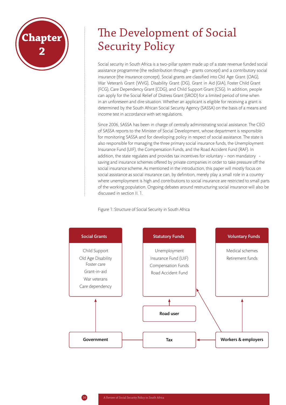

# The Development of Social Security Policy

Social security in South Africa is a two-pillar system made up of a state revenue funded social assistance programme (the redistribution through - grants concept) and a contributory social insurance (the insurance concept). Social grants are classified into Old Age Grant (OAG), War Veteran's Grant (WVG), Disability Grant (DG), Grant in Aid (GIA), Foster Child Grant (FCG), Care Dependency Grant (CDG), and Child Support Grant (CSG). In addition, people can apply for the Social Relief of Distress Grant (SROD) for a limited period of time when in an unforeseen and dire situation. Whether an applicant is eligible for receiving a grant is determined by the South African Social Security Agency (SASSA) on the basis of a means and income test in accordance with set regulations.

Since 2006, SASSA has been in charge of centrally administrating social assistance. The CEO of SASSA reports to the Minister of Social Development, whose department is responsible for monitoring SASSA and for developing policy in respect of social assistance. The state is also responsible for managing the three primary social insurance funds, the Unemployment Insurance Fund (UIF), the Compensation Funds, and the Road Accident Fund (RAF). In addition, the state regulates and provides tax incentives for voluntary – non mandatory saving and insurance schemes offered by private companies in order to take pressure off the social insurance scheme. As mentioned in the introduction, this paper will mostly focus on social assistance as social insurance can, by definition, merely play a small role in a country where unemployment is high and contributions to social insurance are restricted to small parts of the working population. Ongoing debates around restructuring social insurance will also be discussed in section II. 1.



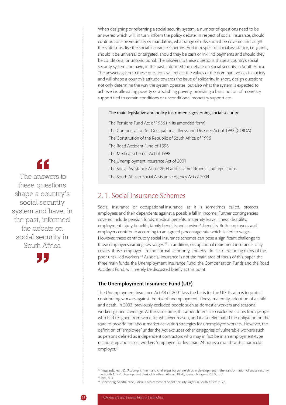When designing or reforming a social security system, a number of questions need to be answered which will, in turn, inform the policy debate: in respect of social insurance, should contributions be voluntary or mandatory, what range of risks should be covered and ought the state subsidise the social insurance schemes. And in respect of social assistance, i.e. grants, should it be universal or targeted, should they be cash or in-kind payments and should they be conditional or unconditional. The answers to these questions shape a country's social security system and have, in the past, informed the debate on social security in South Africa. The answers given to these questions will reflect the values of the dominant voices in society and will shape a country's attitude towards the issue of solidarity. In short, design questions not only determine the way the system operates, but also what the system is expected to achieve i.e. alleviating poverty or abolishing poverty, providing a basic notion of monetary support tied to certain conditions or unconditional monetary support etc.

#### The main legislative and policy instruments governing social security:

The Pensions Fund Act of 1956 (in its amended form) The Compensation for Occupational Illness and Diseases Act of 1993 (COIDA) The Constitution of the Republic of South Africa of 1996 The Road Accident Fund of 1996 The Medical schemes Act of 1998 The Unemployment Insurance Act of 2001 The Social Assistance Act of 2004 and its amendments and regulations The South African Social Assistance Agency Act of 2004

## 2. 1. Social Insurance Schemes

Social insurance or occupational insurance, as it is sometimes called, protects employees and their dependents against a possible fall in income. Further contingencies covered include pension funds, medical benefits, maternity leave, illness, disability, employment injury benefits, family benefits and survivor's benefits. Both employees and employers contribute according to an agreed percentage rate which is tied to wages. However, these contributory social insurance schemes can pose a significant challenge to those employees earning low wages.<sup>32</sup> In addition, occupational retirement insurance only covers those employed in the formal economy, thereby de facto excluding many of the poor unskilled workers.<sup>33</sup> As social insurance is not the main area of focus of this paper, the three main funds, the Unemployment Insurance Fund, the Compensation Funds and the Road Accident Fund, will merely be discussed briefly at this point.

#### The Unemployment Insurance Fund (UIF)

The Unemployment Insurance Act 63 of 2001 lays the basis for the UIF. Its aim is to protect contributing workers against the risk of unemployment, illness, maternity, adoption of a child and death. In 2003, previously excluded people such as domestic workers and seasonal workers gained coverage. At the same time, this amendment also excluded claims from people who had resigned from work, for whatever reason, and it also eliminated the obligation on the state to provide for labour market activation strategies for unemployed workers. However, the definition of "employee" under the Act excludes other categories of vulnerable workers such as persons defined as independent contractors who may in fact be in an employment-type relationship and casual workers "employed for less than 24 hours a month with a particular employer.<sup>34</sup>

<sup>34</sup> Liebenberg, Sandra, 'The Judicial Enforcement of Social Security Rights in South Africa', p. 72.

LL

 The answers to these questions shape a country's social security system and have, in the past, informed the debate on social security in South Africa

<sup>&</sup>lt;sup>32</sup> Triegaardt, Jean, D., 'Accomplishment and challenges for partnerships in development in the transformation of social security in South Africa', Development Bank of Southern Africa (DBSA), Research Papers, 2009, p. 3. 33 Ibid., p. 3.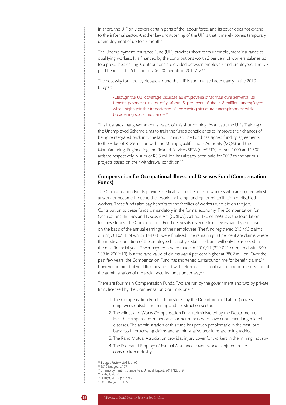In short, the UIF only covers certain parts of the labour force, and its cover does not extend to the informal sector. Another key shortcoming of the UIF is that it merely covers temporary unemployment of up to six months.

The Unemployment Insurance Fund (UIF) provides short-term unemployment insurance to qualifying workers. It is financed by the contributions worth 2 per cent of workers' salaries up to a prescribed ceiling. Contributions are divided between employers and employees. The UIF paid benefits of 5.6 billion to 706 000 people in 2011/12.35

The necessity for a policy debate around the UIF is summarised adequately in the 2010 Budget:

Although the UIF coverage includes all employees other than civil servants, its benefit payments reach only about 5 per cent of the 4.2 million unemployed, which highlights the importance of addressing structural unemployment while broadening social insurance 36

This illustrates that government is aware of this shortcoming. As a result the UIF's Training of the Unemployed Scheme aims to train the fund's beneficiaries to improve their chances of being reintegrated back into the labour market. The Fund has signed funding agreements to the value of R129 million with the Mining Qualifications Authority (MQA) and the Manufacturing, Engineering and Related Services SETA (merSETA) to train 1000 and 1500 artisans respectively. A sum of R5.5 million has already been paid for 2013 to the various projects based on their withdrawal condition.37

#### Compensation for Occupational Illness and Diseases Fund (Compensation Funds)

The Compensation Funds provide medical care or benefits to workers who are injured whilst at work or become ill due to their work, including funding for rehabilitation of disabled workers. These funds also pay benefits to the families of workers who die on the job. Contribution to these funds is mandatory in the formal economy. The Compensation for Occupational Injuries and Diseases Act (COIDA), Act no. 130 of 1993 lays the foundation for these funds. The Compensation Fund derives its revenue from levies paid by employers on the basis of the annual earnings of their employees. The fund registered 215 493 claims during 2010/11, of which 144 081 were finalised. The remaining 33 per cent are claims where the medical condition of the employee has not yet stabilised, and will only be assessed in the next financial year. Fewer payments were made in 2010/11 (329 091 compared with 340 159 in 2009/10), but the rand value of claims was 4 per cent higher at R802 million. Over the past few years, the Compensation Fund has shortened turnaround time for benefit claims,<sup>38</sup> however administrative difficulties persist with reforms for consolidation and modernization of the administration of the social security funds under way.<sup>39</sup>

There are four main Compensation Funds. Two are run by the government and two by private firms licensed by the Compensation Commissioner:<sup>40</sup>

- 1. The Compensation Fund (administered by the Department of Labour) covers employees outside the mining and construction sector.
- 2. The Mines and Works Compensation Fund (administered by the Department of Health) compensates miners and former miners who have contracted lung related diseases. The administration of this fund has proven problematic in the past, but backlogs in processing claims and administrative problems are being tackled.
- 3. The Rand Mutual Association provides injury cover for workers in the mining industry.
- 4. The Federated Employers' Mutual Assurance covers workers injured in the construction industry.

<sup>&</sup>lt;sup>35</sup> Budget Review, 2013, p. 92

<sup>36 2010</sup> Budget, p.107 37 Unemployment Insurance Fund Annual Report, 2011/12, p. 9

<sup>38</sup> Budget, 2012

<sup>39</sup> Budget, 2013, p. 92-93

<sup>40 2010</sup> Budget, p. 109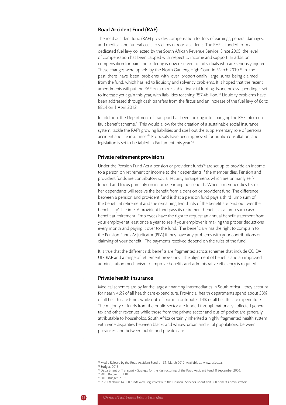#### Road Accident Fund (RAF)

The road accident fund (RAF) provides compensation for loss of earnings, general damages, and medical and funeral costs to victims of road accidents. The RAF is funded from a dedicated fuel levy collected by the South African Revenue Service. Since 2005, the level of compensation has been capped with respect to income and support. In addition, compensation for pain and suffering is now reserved to individuals who are seriously injured. These changes were upheld by the North Gauteng High Court in March 2010.41 In the past there have been problems with over proportionally large sums being claimed from the fund, which has led to liquidity and solvency problems. It is hoped that the recent amendments will put the RAF on a more stable financial footing. Nonetheless, spending is set to increase yet again this year, with liabilities reaching R57.4billion.<sup>42</sup> Liquidity problems have been addressed through cash transfers from the fiscus and an increase of the fuel levy of 8c to 88c/l on 1 April 2012.

In addition, the Department of Transport has been looking into changing the RAF into a nofault benefit scheme.<sup>43</sup> This would allow for the creation of a sustainable social insurance system, tackle the RAF's growing liabilities and spell out the supplementary role of personal accident and life insurance.<sup>44</sup> Proposals have been approved for public consultation, and legislation is set to be tabled in Parliament this year.<sup>45</sup>

#### Private retirement provisions

Under the Pension Fund Act a pension or provident funds<sup>46</sup> are set up to provide an income to a person on retirement or income to their dependants if the member dies. Pension and provident funds are contributory social security arrangements which are primarily selffunded and focus primarily on income-earning households. When a member dies his or her dependants will receive the benefit from a pension or provident fund. The difference between a pension and provident fund is that a pension fund pays a third lump sum of the benefit at retirement and the remaining two thirds of the benefit are paid out over the beneficiary's lifetime. A provident fund pays its retirement benefits as a lump sum cash benefit at retirement. Employees have the right to request an annual benefit statement from your employer at least once a year to see if your employer is making the proper deductions every month and paying it over to the fund. The beneficiary has the right to complain to the Pension Funds Adjudicator (PFA) if they have any problems with your contributions or claiming of your benefit. The payments received depend on the rules of the fund.

It is true that the different risk benefits are fragmented across schemes that include COIDA, UIF, RAF and a range of retirement provisions. The alignment of benefits and an improved administration mechanism to improve benefits and administrative efficiency is required.

#### Private health insurance

Medical schemes are by far the largest financing intermediaries in South Africa – they account for nearly 46% of all health care expenditure. Provincial health departments spend about 38% of all health care funds while out-of-pocket contributes 14% of all health care expenditure. The majority of funds from the public sector are funded through nationally collected general tax and other revenues while those from the private sector and out-of-pocket are generally attributable to households. South Africa certainly inherited a highly fragmented health system with wide disparities between blacks and whites, urban and rural populations, between provinces, and between public and private care.

<sup>41</sup> Media Release by the Road Accident Fund on 31. March 2010. Available at: www.raf.co.za.

<sup>42</sup> Budget, 2013

<sup>43</sup> Department of Transport – Strategy for the Restructuring of the Road Accident Fund, 8 September 2006.

<sup>44 2010</sup> Budget, p. 110.

<sup>45 2013</sup> Budget, p. 92

<sup>46</sup> In 2008 about 14 000 funds were registered with the Financial Services Board and 300 benefit administrators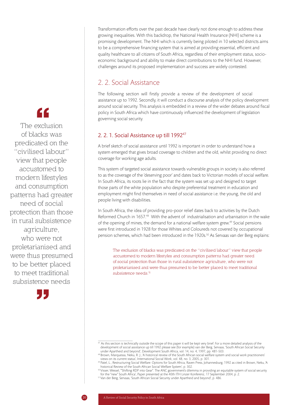Transformation efforts over the past decade have clearly not done enough to address these growing inequalities. With this backdrop, the National Health Insurance (NHI) scheme is a promising development. The NHI which is currently being piloted in 10 selected districts aims to be a comprehensive financing system that is aimed at providing essential, efficient and quality healthcare to all citizens of South Africa, regardless of their employment status, socioeconomic background and ability to make direct contributions to the NHI fund. However, challenges around its proposed implementation and success are widely contested.

# 2. 2. Social Assistance

The following section will firstly provide a review of the development of social assistance up to 1992. Secondly, it will conduct a discourse analysis of the policy development around social security. This analysis is embedded in a review of the wider debates around fiscal policy in South Africa which have continuously influenced the development of legislation governing social security.

## 2. 2. 1. Social Assistance up till 1992<sup>47</sup>

A brief sketch of social assistance until 1992 is important in order to understand how a system emerged that gives broad coverage to children and the old, whilst providing no direct coverage for working age adults.

This system of targeted social assistance towards vulnerable groups in society is also referred to as the coverage of the 'deserving poor' and dates back to Victorian models of social welfare. In South Africa, its roots lie in the fact that the system was set up and designed to target those parts of the white population who despite preferential treatment in education and employment might find themselves in need of social assistance i.e. the young, the old and people living with disabilities.

In South Africa, the idea of providing pro-poor relief dates back to activities by the Dutch Reformed Church in 1657.48 With the advent of industrialisation and urbanisation in the wake of the opening of mines, the demand for a national welfare system grew.49 Social pensions were first introduced in 1928 for those Whites and Coloureds not covered by occupational pension schemes, which had been introduced in the 1920s.<sup>50</sup> As Servaas van der Berg explains:

The exclusion of blacks was predicated on the "civilised labour" view that people accustomed to modern lifestyles and consumption patterns had greater need of social protection than those in rural subsistence agriculture, who were not proletarianised and were thus presumed to be better placed to meet traditional subsistence needs.<sup>51</sup>

"

The exclusion of blacks was predicated on the "civilised labour" view that people accustomed to modern lifestyles and consumption patterns had greater need of social protection than those in rural subsistence agriculture, who were not proletarianised and were thus presumed to be better placed to meet traditional subsistence needs



 $^{47}$  As this section is technically outside the scope of this paper it will be kept very brief. For a more detailed analysis of the development of social assistance up till 1992 please see (for example) van der Berg, Servaas, 'South African Social Security under Apartheid and beyond', Development South Africa, vol. 14, no. 4, 1997, pp. 481-503.

<sup>48</sup> Brown, Marquessa, Neku, R. J., 'A historical review of the South African social welfare system and social work practitioners' views on its current status', International Social Work, vol. 48, no. 3, 2005, p. 301.

<sup>49</sup> Patel, L., Restructuring Social Welfare: Options for South Africa, Raven Press, Johannesburg, 1992 as cited in Brown, Neku, 'A historical Review of the South African Social Welfare System', p. 302.<br><sup>so</sup>Visser, Wessel, "Shifting RDP into Gear". The ANC government's dilemma in providing an equitable system of social security

for the "new" South Africa', Paper presented at the 40th ITH Linzer Konferenz, 17 September 2004, p. 2.

<sup>51</sup> Van der Berg, Servaas, 'South African Social Security under Apartheid and beyond', p. 486.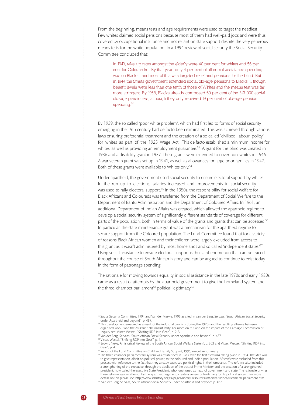From the beginning, means tests and age requirements were used to target the neediest. Few whites claimed social pensions because most of them had well-paid jobs and were thus covered by occupational insurance and not reliant on state support despite the very generous means tests for the white population. In a 1994 review of social security the Social Security Committee concluded that:

In 1943, take-up rates amongst the elderly were 40 per cent for whites and 56 per cent for Coloureds....By that year, only 4 per cent of all social assistance spending was on Blacks...and most of this was targeted relief and pensions for the blind. But in 1944 the Smuts government extended social old-age pensions to Blacks..., though benefit levels were less than one tenth of those of Whites and the means test was far more stringent. By 1958, Blacks already composed 60 per cent of the 347 000 social old-age pensioners, although they only received 19 per cent of old-age pension spending.<sup>52</sup>

By 1939, the so called "poor white problem", which had first led to forms of social security emerging in the 19th century had de facto been eliminated. This was achieved through various laws ensuring preferential treatment and the creation of a so called "civilised labour policy" for whites as part of the 1925 Wage Act. This de facto established a minimum income for whites, as well as providing an employment guarantee.<sup>53</sup> A grant for the blind was created in 1936 and a disability grant in 1937. These grants were extended to cover non-whites in 1946. A war veteran grant was set up in 1941, as well as allowances for large poor families in 1947. Both of these grants were available to Whites only.<sup>54</sup>

Under apartheid, the government used social security to ensure electoral support by whites. In the run up to elections, salaries increased and improvements in social security was used to rally electoral support.<sup>55</sup> In the 1950s, the responsibility for social welfare for Black Africans and Coloureds was transferred from the Department of Social Welfare to the Department of Bantu Administration and the Department of Coloured Affairs. In 1961, an additional Department of Indian Affairs was created, which allowed the apartheid regime to develop a social security system of significantly different standards of coverage for different parts of the population, both in terms of value of the grants and grants that can be accessed.<sup>56</sup> In particular, the state maintenance grant was a mechanism for the apartheid regime to secure support from the Coloured population. The Lund Committee found that for a variety of reasons Black African women and their children were largely excluded from access to this grant as it wasn't administered by most homelands and so called 'independent states.'<sup>57</sup> Using social assistance to ensure electoral support is thus a phenomenon that can be traced throughout the course of South African history and can be argued to continue to exist today in the form of patronage spending.

The rationale for moving towards equality in social assistance in the late 1970s and early 1980s came as a result of attempts by the apartheid government to give the homeland system and the three-chamber parliament<sup>58</sup> political legitimacy.<sup>59</sup>

<sup>52</sup> Social Security Committee, 1994 and Van der Merwe, 1996 as cited in van der Berg, Servaas, 'South African Social Security under Apartheid and beyond', p. 487.

<sup>&</sup>lt;sup>53</sup>This development emerged as a result of the industrial conflicts during the 1920s and the resulting alliance between organised labour and the Afrikaner Nationalist Party. For more on this and on the impact of the Carnagie Commission of Inquiry see: Visser, Wessel, '"Shifting RDP into Gear"', p. 2-3.

<sup>54</sup> Van der Berg, Servaas, 'South African Social Security under Apartheid and beyond', p. 487.

<sup>55</sup> Visser, Wessel, '"Shifting RDP into Gear"', p. 4.

<sup>&</sup>lt;sup>56</sup> Brown, Neku, 'A historical Review of the South African Social Welfare System', p. 303 and Visser, Wessel, "'Shifting RDP into Gear"', p. 4.

<sup>57</sup> Report of the Lund Committee on Child and Family Support, 1996, executive summary.

<sup>58</sup> The three chamber parliamentary system was established in 1983, with the first elections taking place in 1984. The idea was to give representation, albeit no political power, to the coloured and Indian population. African's were excluded from this process with reference to the fact that they already exercised political rights in the homelands. The reforms also included a strengthening of the executive, through the abolition of the post of Prime Minister and the creation of a strengthened president, now called the executive State President, who functioned as head of government and state. The rationale driving these reforms was an attempt by the apartheid regime to create a veneer of legitimacy for its political system. For more details on this please see: http://www.sahistory.org.za/pages/library-resources/official%20docs/tricameral-parliament.htm. 59 Van der Berg, Servaas, 'South African Social Security under Apartheid and beyond', p. 487.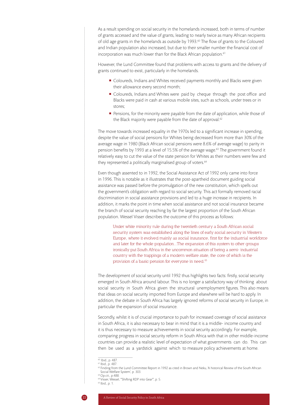As a result spending on social security in the homelands increased, both in terms of number of grants accessed and the value of grants, leading to nearly twice as many African recipients of old age grants in the homelands as outside by 1993.60 The flow of grants to the Coloured and Indian population also increased, but due to their smaller number the financial cost of incorporation was much lower than for the Black African population.<sup>61</sup>

However, the Lund Committee found that problems with access to grants and the delivery of grants continued to exist, particularly in the homelands.

- Coloureds, Indians and Whites received payments monthly and Blacks were given their allowance every second month;
- Coloureds, Indians and Whites were paid by cheque through the post office and Blacks were paid in cash at various mobile sites, such as schools, under trees or in stores;
- **Pensions, for the minority were payable from the date of application, while those of** the Black majority were payable from the date of approval.<sup>62</sup>

The move towards increased equality in the 1970s led to a significant increase in spending, despite the value of social pensions for Whites being decreased from more than 30% of the average wage in 1980 (Black African social pensions were 8.6% of average wage) to parity in pension benefits by 1993 at a level of 15.5% of the average wage.<sup>63</sup> The government found it relatively easy to cut the value of the state pension for Whites as their numbers were few and they represented a politically marginalised group of voters.<sup>64</sup>

Even though assented to in 1992, the Social Assistance Act of 1992 only came into force in 1996. This is notable as it illustrates that the post-apartheid document guiding social assistance was passed before the promulgation of the new constitution, which spells out the government's obligation with regard to social security. This act formally removed racial discrimination in social assistance provisions and led to a huge increase in recipients. In addition, it marks the point in time when social assistance and not social insurance became the branch of social security reaching by far the largest proportion of the South African population. Wessel Visser describes the outcome of this process as follows:

Under white minority rule during the twentieth century a South African social security system was established along the lines of early social security in Western Europe, where it evolved mainly as social insurance, first for the industrial workforce and later for the whole population...The expansion of this system to other groups ironically put South Africa in the uncommon situation of being a semi- industrial country with the trappings of a modern welfare state, the core of which is the provision of a basic pension for everyone in need.<sup>65</sup>

The development of social security until 1992 thus highlights two facts: firstly, social security emerged in South Africa around labour. This is no longer a satisfactory way of thinking about social security in South Africa given the structural unemployment figures. This also means that ideas on social security imported from Europe and elsewhere will be hard to apply. In addition, the debate in South Africa has largely ignored reforms of social security in Europe, in particular the expansion of social insurance.

Secondly, whilst it is of crucial importance to push for increased coverage of social assistance in South Africa, it is also necessary to bear in mind that it is a middle- income country and it is thus necessary to measure achievements in social security accordingly. For example, comparing progress in social security reform in South Africa with that in other middle-income countries can provide a realistic level of expectation of what governments can do. This can then be used as a yardstick against which to measure policy achievements at home.

<sup>60</sup> Ibid., p. 487.

<sup>61</sup> Ibid., p. 487.

 $62$  Finding from the Lund Committee Report in 1992 as cited in Brown and Neku, 'A historical Review of the South African Social Welfare System', p. 303. 63 Op.cit., p.488.

<sup>64</sup> Visser, Wessel, '"Shifting RDP into Gear"', p. 5.

<sup>65</sup> Ibid., p. 1.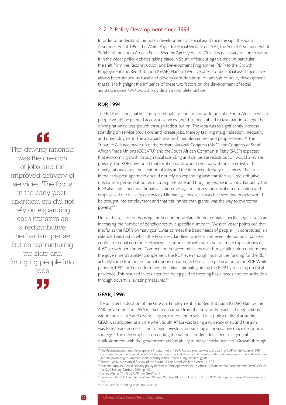#### 2. 2. 2. Policy Development since 1994

In order to understand the policy development on social assistance through the Social Assistance Act of 1992, the White Paper for Social Welfare of 1997, the Social Assistance Act of 2004 and the South African Social Security Agency Act of 2004, it is necessary to contextualise it in the wider policy debates taking place in South Africa during this time. In particular the shift from the Reconstruction and Development Programme (RDP) to the Growth, Employment and Redistribution (GEAR) Plan in 1996. Debates around social assistance have always been shaped by fiscal and poverty considerations. An analysis of policy development that fails to highlight the influence of these two factors on the development of social assistance since 1994 would provide an incomplete picture.

#### RDP, 1994

The RDP in its original version spelled out a vision for a new democratic South Africa in which people would be granted access to services, and thus been abled to take part in society. The driving rationale was growth through redistribution. The idea was to significantly increase spending on service provisions and create jobs, thereby tackling marginalisation, inequality and unemployment. The approach was both people-centred and people-driven.<sup>66</sup> The Tripartite Alliance made up of the African National Congress (ANC), the Congress of South African Trade Unions (COSATU) and the South African Communist Party (SACP) expected that economic growth through fiscal spending and deliberate redistribution would alleviate poverty. The RDP envisioned that local demand would eventually stimulate growth. The driving rationale was the creation of jobs and the improved delivery of services. The focus in the early post-apartheid era did not rely on expanding cash transfers as a redistributive mechanism per se, but on restructuring the state and bringing people into jobs. Naturally, the RDP also contained an affirmative action message to address historical discrimination and emphasized the delivery of services. Ultimately, however, it was believed that people would be brought into employment and that this, rather than grants, was the way to overcome poverty.<sup>67</sup>

Unlike the section on housing, the section on welfare did not contain specific targets, such as increasing the number of beneficiaries by a specific number.<sup>68</sup> Wessler Visser points out that insofar as the RDP's primary goal '...was to meet the basic needs of people... [it constituted] an extended wish list in which the homeless, landless, workers, and even international bankers could take equal comfort.'69 However, economic growth rates did not meet expectations of 4-6% growth per annum. Competition between ministers over budget allocation undermined the government's ability to implement the RDP, even though most of the funding for the RDP actually came from international donors on a project basis. The publication of the RDP White paper in 1994 further undermined the initial rationale guiding the RDP by focusing on fiscal prudence. This resulted in less attention being paid to meeting basic needs and redistribution through poverty alleviating measures.<sup>70</sup>

#### GEAR, 1996

The unilateral adoption of the Growth, Employment, and Redistribution (GEAR) Plan by the ANC government in 1996 marked a departure from the previously practiced negotiations within the alliance and civil society structures, and resulted in a policy of fiscal austerity. GEAR was adopted at a time when South Africa was facing a currency crisis and the aim was to reassure domestic and foreign investors by pursuing a conservative macro-economic strategy.<sup>71</sup> The new emphasis on cutting the national budget deficit led to a general disillusionment with the government and its ability to deliver social services. 'Growth through

The driving rationale was the creation of jobs and the improved delivery of services. The focus in the early postapartheid era did not rely on expanding cash transfers as a redistributive mechanism per se, but on restructuring the state and bringing people into jobs



<sup>66</sup> The Reconstruction and Development Programme of 1994. Available at: www.anc.org.za.The RDP White Paper of 1994 considerably cut the original version of the section on social security and merely contains 4 paragraphs on social welfare in

general promising to improve social security without presenting concrete goals.<br><sup>67</sup> Brown, Neku, 'A historical Review of the South African Social Welfare System', p. 304.

<sup>68</sup> Makino, Kumiko, 'Social Security policy Reform in Post-Apartheid South Africa: A Focus on the Basic Income Grant', Centre for Civil Society, Durban, 2004, p. 10.

<sup>69</sup> Visser, Wessel, '"Shifting RDP into Gear"', p. 7.

 $^{70}$  Terreblanche, 2003, as cited in Visser, Wessel, "'Shifting RDP into Gear'", p. 8. The RDP white paper is available on www.anc org.za.

<sup>71</sup> Visser, Wessel, '"Shifting RDP into Gear"', p.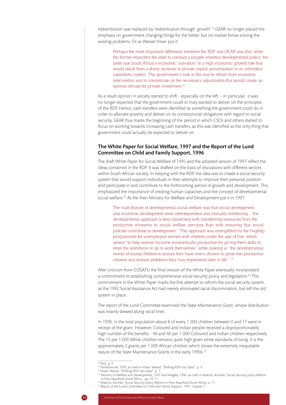redistribution' was replaced by 'redistribution through growth'.<sup>72</sup> GEAR no longer placed the emphasis on government changing things for the better, but on market forces solving the existing problems. Or as Wessel Visser put it:

Perhaps the most important difference between the RDP and GEAR was that, while the former expected the state to conduct a people-oriented developmental policy, the latter saw South Africa's economic "salvation" in a high economic growth rate that would result from a sharp increase in private capital accumulation in an unbridled capitalistic system. The government's task in this was to refrain from economic intervention and to concentrate on the necessary adjustments that would create an optimal climate for private investment.<sup>73</sup>

As a result opinion in society started to shift - especially on the left, - in particular, it was no longer expected that the government could or truly wanted to deliver on the principles of the RDP. Hence, cash transfers were identified as something the government could do in order to alleviate poverty and deliver on its constitutional obligations with regard to social security. GEAR thus marks the beginning of the period in which CSOs and others started to focus on working towards increasing cash transfers, as this was identified as the only thing that government could actually be expected to deliver on.

#### The White Paper for Social Welfare, 1997 and the Report of the Lund Committee on Child and Family Support, 1996

The draft White Paper for Social Welfare of 1995 and the adopted version of 1997 reflect the ideas contained in the RDP. It was drafted on the basis of discussions with different sectors within South African society. In keeping with the RDP, the idea was to create a social security system that would support individuals in their attempts to improve their personal position and participate in and contribute to the forthcoming period of growth and development. This emphasized the importance of creating human capacities and the concept of developmental social welfare.<sup>74</sup> As the then Ministry for Welfare and Development put it in 1997:

The main feature of developmental social welfare was that social development and economic development were interdependent and mutually reinforcing..."the developmental approach is less concerned with transferring resources from the productive economy to social welfare services than with ensuring that social policies contribute to development." This approach was exemplified by the flagship programmes for unemployed women with children under the age of five, which aimed "to help women become economically productive by giving them skills to enter the workforce or go to work themselves" while looking at "the developmental needs of young children to ensure they have every chance to grow into productive citizens and reduce problems they may experience later in life". 75

After criticism from COSATU the final version of the White Paper eventually incorporated a commitment to establishing comprehensive social security policy and legislation.<sup>76</sup> This commitment in the White Paper marks the first attempt to reform the social security system, as the 1992 Social Assistance Act had merely eliminated racial discrimination, but left the old system in place.

The report of the Lund Committee examined the State Maintenance Grant, whose distribution was heavily skewed along racial lines:

In 1990, in the total population about 8 of every 1 000 children between 0 and 17 were in receipt of the grant. However, Coloured and Indian people received a disproportionately high number of the benefits - 48 and 40 per 1 000 Coloured and Indian children respectively. The 15 per 1 000 White children remains quite high given white standards of living. It is the approximately 2 grants per 1 000 African children which shows the extremely inequitable nature of the State Maintenance Grants in the early 1990s.77

76 Makino, Kumiko, 'Social Security policy Reform in Post-Apartheid South Africa', p. 11.

 $72$  Ibid., p. 9.

<sup>73</sup> Terreblanche, 1999, as cited in Visser, Wessel, '"Shifting RDP into Gear"', p. 9.

<sup>74</sup> Visser, Wessel, '"Shifting RDP into Gear"', p. 7.

<sup>75</sup> Ministry of Welfare and Development, 1997 and Midgley, 1996, as cited in Makino, Kumiko, 'Social Security policy Reform in Post-Apartheid South Africa ', pp. 10-11.

<sup>77</sup> Report of the Lund Committee on Child and Family Support, 1997, chapter. 1.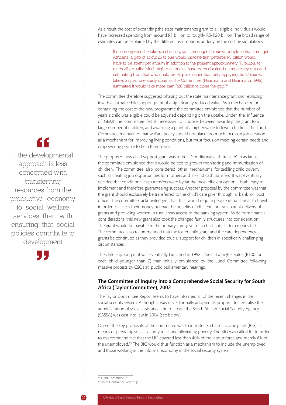As a result the cost of expanding the state maintenance grant to all eligible individuals would have increased spending from around R1 billion to roughly R5-R20 billion. The broad range of estimates can be explained by the different assumptions underlying the costing simulations.

If one compares the take-up of such grants amongst Coloured people to that amongst Africans, a gap of about 25 to one would indicate that perhaps R5 billion would have to be spent per annum in addition to the present approximately R1 billion, to reach all equally. Much higher estimates have been obtained using survey data and estimating from that who could be eligible, rather than only applying the Coloured take-up rates; one study done for the Committee (Haarmann and Haarmann, 1996) estimated it would take more than R20 billion to close the gap.78

The committee therefore suggested phasing out the state maintenance grant and replacing it with a flat-rate child support grant of a significantly reduced value. As a mechanism for containing the cost of the new programme the committee envisioned that the number of years a child was eligible could be adjusted depending on the uptake. Under the influence of GEAR the committee felt it necessary to choose between awarding the grant to a large number of children, and awarding a grant of a higher value to fewer children. The Lund Committee maintained that welfare policy should not place too much focus on job creation as a mechanism for improving living conditions, but must focus on meeting certain needs and empowering people to help themselves.

The proposed new child support grant was to be a "conditional cash transfer" in as far as the committee envisioned that it would be tied to growth monitoring and immunisation of children. The committee also considered other mechanisms for tackling child poverty such as creating job opportunities for mothers and in-kind cash transfers. It was eventually decided that conditional cash transfers were by far the most efficient option – both easy to implement and therefore guaranteeing success. Another proposal by the committee was that the grant should exclusively be transferred to the child's care giver through a bank or post office. The committee acknowledged that this would require people in rural areas to travel in order to access their money but had the benefits of efficient and transparent delivery of grants and providing women in rural areas access to the banking system. Aside from financial considerations, this new grant also took the changed family structures into consideration. The grant would be payable to the primary care-giver of a child, subject to a means test. The committee also recommended that the foster child grant and the care dependency grants be continued as they provided crucial support for children in specifically challenging circumstances.

The child support grant was eventually launched in 1998, albeit at a higher value (R100 for each child younger than 7) than initially envisioned by the Lund Committee, following massive protests by CSOs at public parliamentary hearings.

#### The Committee of Inquiry into a Comprehensive Social Security for South Africa (Taylor Committee), 2002

The Taylor Committee Report seems to have informed all of the recent changes in the social security system. Although it was never formally adopted its proposal to centralise the administration of social assistance and to create the South African Social Security Agency (SASSA) was cast into law in 2004 (see below).

One of the key proposals of the committee was to introduce a basic income grant (BIG), as a means of providing social security to all and alleviating poverty. The BIG was called for in order to overcome the fact that the UIF covered less than 40% of the labour force and merely 6% of the unemployed.<sup>79</sup> The BIG would thus function as a mechanism to include the unemployed and those working in the informal economy in the social security system.

 $78$  Lund Committee, p. 16.

# "

...the developmental approach is less concerned with transferring resources from the productive economy to social welfare services than with ensuring that social policies contribute to development



<sup>79</sup> Taylor Committee Report, p. 9.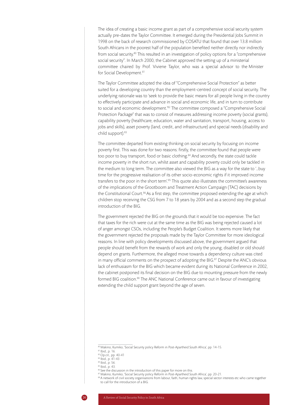The idea of creating a basic income grant as part of a comprehensive social security system actually pre-dates the Taylor Committee. It emerged during the Presidential Jobs Summit in 1998 on the back of research commissioned by COSATU that found that over 13.8 million South Africans in the poorest half of the population benefited neither directly nor indirectly from social security.80 This resulted in an investigation of policy options for a "comprehensive social security". In March 2000, the Cabinet approved the setting up of a ministerial committee chaired by Prof. Viviene Taylor, who was a special advisor to the Minister for Social Development.<sup>81</sup>

The Taylor Committee adopted the idea of "Comprehensive Social Protection" as better suited for a developing country than the employment-centred concept of social security. The underlying rationale was to 'seek to provide the basic means for all people living in the country to effectively participate and advance in social and economic life, and in turn to contribute to social and economic development.'82 The committee composed a "Comprehensive Social Protection Package" that was to consist of measures addressing income poverty (social grants), capability poverty (healthcare, education, water and sanitation, transport, housing, access to jobs and skills), asset poverty (land, credit, and infrastructure) and special needs (disability and child support).83

The committee departed from existing thinking on social security by focusing on income poverty first. This was done for two reasons: firstly, the committee found that people were too poor to buy transport, food or basic clothing.<sup>84</sup> And secondly, the state could tackle income poverty in the short run, whilst asset and capability poverty could only be tackled in the medium to long term. The committee also viewed the BIG as a way for the state to '…buy time for the progressive realisation of its other socio-economic rights if it improved income transfers to the poor in the short term'.<sup>85</sup> This quote also illustrates the committee's awareness of the implications of the Grootboom and Treatment Action Campaign (TAC) decisions by the Constitutional Court.<sup>86</sup> As a first step, the committee proposed extending the age at which children stop receiving the CSG from 7 to 18 years by 2004 and as a second step the gradual introduction of the BIG.

The government rejected the BIG on the grounds that it would be too expensive. The fact that taxes for the rich were cut at the same time as the BIG was being rejected caused a lot of anger amongst CSOs, including the People's Budget Coalition. It seems more likely that the government rejected the proposals made by the Taylor Committee for more ideological reasons. In line with policy developments discussed above, the government argued that people should benefit from the rewards of work and only the young, disabled or old should depend on grants. Furthermore, the alleged move towards a dependency culture was cited in many official comments on the prospect of adopting the BIG. $87$  Despite the ANC's obvious lack of enthusiasm for the BIG which became evident during its National Conference in 2002, the cabinet postponed its final decision on the BIG due to mounting pressure from the newly formed BIG coalition.<sup>88</sup> The ANC National Conference came out in favour of investigating extending the child support grant beyond the age of seven.

<sup>80</sup> Makino, Kumiko, 'Social Security policy Reform in Post-Apartheid South Africa', pp. 14-15. 81 Ibid., p. 16.

<sup>82</sup> Op.cit., pp. 40-41

<sup>83</sup> Ibid., p. 41-43

<sup>84</sup> Ibid., p. 56.

<sup>85</sup> Ibid., p. 43.

 $\frac{86}{2}$  See the discussion in the introduction of this paper for more on this.

<sup>87</sup> Makino, Kumiko, 'Social Security policy Reform in Post-Apartheid South Africa', pp. 20-21.

<sup>88</sup> A network of civil society organisations from labour, faith, human rights law, special sector interests etc who came together to call for the introduction of a BIG.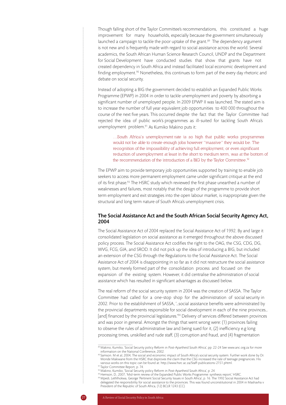Though falling short of the Taylor Committee's recommendations, this constituted a huge improvement for many households, especially because the government simultaneously launched a campaign to tackle the poor uptake of the grant.<sup>89</sup> The dependency argument is not new and is frequently made with regard to social assistance across the world. Several academics, the South African Human Science Research Council, UNDP and the Department for Social Development have conducted studies that show that grants have not created dependency in South Africa and instead facilitated local economic development and finding employment.<sup>90</sup> Nonetheless, this continues to form part of the every day rhetoric and debate on social security.

Instead of adopting a BIG the government decided to establish an Expanded Public Works Programme (EPWP) in 2004 in order to tackle unemployment and poverty by absorbing a significant number of unemployed people. In 2009 EPWP II was launched. The stated aim is to increase the number of full year equivalent job opportunities to 400 000 throughout the course of the next five years. This occurred despite the fact that the Taylor Committee had rejected the idea of public work's programmes as ill-suited for tackling South Africa's unemployment problem.91 As Kumiko Makino puts it:

…South Africa's unemployment rate is so high that public works programmes would not be able to create enough jobs however "massive" they would be. The recognition of the impossibility of achieving full employment, or even significant reduction of unemployment at least in the short to medium term, was at the bottom of the recommendation of the introduction of a BİG by the Taylor Committee.<sup>92</sup>

The EPWP aim to provide temporary job opportunities supported by training to enable job seekers to access more permanent employment came under significant critique at the end of its first phase.93 The HSRC study which reviewed the first phase unearthed a number of weaknesses and failures, most notably that the design of the programme to provide short term employment and exit strategies into the open labour market, is inappropriate given the structural and long term nature of South Africa's unemployment crisis.

#### The Social Assistance Act and the South African Social Security Agency Act, 2004

The Social Assistance Act of 2004 replaced the Social Assistance Act of 1992. By and large it consolidated legislation on social assistance as it emerged throughout the above discussed policy process. The Social Assistance Act codifies the right to the OAG, the CSG, CDG, DG, WVG, FCG, GIA, and SROD. It did not pick up the idea of introducing a BIG, but included an extension of the CSG through the Regulations to the Social Assistance Act. The Social Assistance Act of 2004 is disappointing in so far as it did not restructure the social assistance system, but merely formed part of the consolidation process and focused on the expansion of the existing system. However, it did centralise the administration of social assistance which has resulted in significant advantages as discussed below.

The real reform of the social security system in 2004 was the creation of SASSA. The Taylor Committee had called for a one-stop shop for the administration of social security in 2002. Prior to the establishment of SASSA, '…social assistance benefits were administrated by the provincial departments responsible for social development in each of the nine provinces… [and] financed by the provincial legislatures.'94 Delivery of services differed between provinces and was poor in general. Amongst the things that went wrong were: (1) provinces failing to observe the rules of administrative law and being sued for it, (2) inefficiency e.g long processing times, unskilled and rude staff, (3) corruption and fraud, and (4) fragmentation

<sup>89</sup> Makino, Kumiko, 'Social Security policy Reform in Post-Apartheid South Africa', pp. 22-24 See www.anc.org.za for more information on the National Conference, 2002.

<sup>90</sup> Samson. M et al, 2004, The social and economic impact of South Africa's social security system. Further work done by Dr. Monde Makiwane from the HSRC that disproves the claim that the CSG increased the rate of teenage pregnancies. His various works on this topic can be found at: http://www.hsrc.ac.za/Staff-publications-2151.phtml.

<sup>91</sup> Taylor Committee Report, p. 74.

<sup>92</sup> Makino, Kumiko, 'Social Security policy Reform in Post-Apartheid South Africa', p. 24.

<sup>93</sup> Hemson, D., 2007, 'Mid-term review of the Expanded Public Works Programme: synthesis report,' HSRC.

<sup>94</sup> Mpedi, Lethlhokwa, George 'Pertinent Social Security Issues in South Africa', p. 16. The 1992 Social Assistance Act had delegated the responsibility for social assistance to the provinces. This was found unconstitutional in 2004 in Mashavha v President of the Republic of South Africa, (12) BCLR 1243 (CC).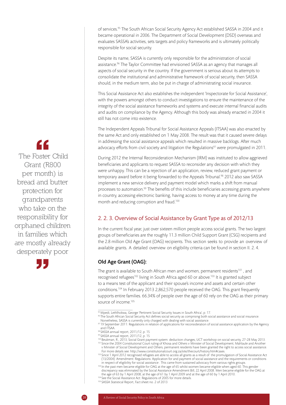of services.<sup>95</sup> The South African Social Security Agency Act established SASSA in 2004 and it became operational in 2006. The Department of Social Development (DSD) overseas and evaluates SASSA's activities, sets targets and policy frameworks and is ultimately politically responsible for social security.

Despite its name, SASSA is currently only responsible for the administration of social assistance.96 The Taylor Committee had envisioned SASSA as an agency that manages all aspects of social security in the country. If the government is serious about its attempts to consolidate the institutional and administrative framework of social security, then SASSA should, in the medium term, also be put in charge of administrating social insurance.

This Social Assistance Act also establishes the independent 'Inspectorate for Social Assistance', with the powers amongst others to conduct investigations to ensure the maintenance of the integrity of the social assistance frameworks and systems and execute internal financial audits and audits on compliance by the Agency. Although this body was already enacted in 2004 it still has not come into existence.

The Independent Appeals Tribunal for Social Assistance Appeals (ITSAA) was also enacted by the same Act and only established on 1 May 2008. The result was that it caused severe delays in addressing the social assistance appeals which resulted in massive backlogs. After much advocacy efforts from civil society and litigation the Regulations<sup>97</sup> were promulgated in 2011.

During 2012 the Internal Reconsideration Mechanism (IRM) was instituted to allow aggrieved beneficiaries and applicants to request SASSA to reconsider any decision with which they were unhappy. This can be a rejection of an application, review, reduced grant payment or temporary award before it being forwarded to the Appeals Tribunal.<sup>98</sup> 2012 also saw SASSA implement a new service delivery and payment model which marks a shift from manual processes to automation.99 The benefits of this include beneficiaries accessing grants anywhere in country, accessing electronic banking, having access to money at any time during the month and reducing corruption and fraud.<sup>100</sup>

## 2. 2. 3. Overview of Social Assistance by Grant Type as of 2012/13

In the current fiscal year, just over sixteen million people access social grants. The two largest groups of beneficiaries are the roughly 11.3 million Child Support Grant (CSG) recipients and the 2.8 million Old Age Grant (OAG) recipients. This section seeks to provide an overview of available grants. A detailed overview on eligibility criteria can be found in section II. 2. 4.

#### Old Age Grant (OAG):

The grant is available to South African men and women, permanent residents<sup>101</sup>, and recognised refugees<sup>102</sup> living in South Africa aged 60 or above.<sup>103</sup> It is granted subject to a means test of the applicant and their spouse's income and assets and certain other conditions.104 In February 2013 2,862,570 people received the OAG. This grant frequently supports entire families. 66.34% of people over the age of 60 rely on the OAG as their primary source of income.<sup>105</sup>

96 The South African Social Security Act defines social security as comprising both social assistance and social insurance.

- 98 SASSA annual report, 2011/12, p. 15
- 99 SASSA annual report, 2011/12, p. 15
- 100 Beukman, R., 2013, Social Grant payment system: deduction changes, UCT workshop on social security, 27-28 May 2013. <sup>101</sup> Since the 2004 Constitutional Court ruling of Khosa and Others v Minister of Social Development; Mahlaule and Another v Minister of Social Development and Others, permanent residents have been granted the right to access social assistance. For more details see: http://www.constitutionalcourt.org.za/site/thecourt/history.htm#cases.

102 Since 1 April 2012 recognised refugees are able to access all grants as a result of the promulgation of Social Assistance Act (13/2004): Amendment: Regulations: Application for and payment of social assistance and the requirements or conditions

in respect of eligibility for social assistance . This came from sustained advocacy from various rights groups.<br><sup>103</sup> In the past men became eligible for OAG at the age of 65 whilst women became eligible when aged 60. This discrepancy was eliminated by the Social Assistance Amendment Bill, 22 April 2008. Men became eligible for the OAG at

the age of 63 by 1 April 2008, at the age of 61 by 1 April 2009 and at the age of 60 by 1 April 2010. <sup>104</sup> See the Social Assistance Act: Regulations of 2005 for more details.

105 SASSA Statistical Report, Fact sheet no. 2 of 2013

# <u>CC</u>

 The Foster Child Grant (R800 per month) is bread and butter protection for grandparents who take on the responsibility for orphaned children in families which are mostly already desperately poor



<sup>95</sup> Mpedi, Lethlhokwa, George 'Pertinent Social Security Issues in South Africa', p. 17.

Nonetheless, SASSA is currently only charged with dealing with social assistance.<br><sup>97</sup> 19 September 2011: Regulations in relation of applications for reconsideration of social assistance application by the Agency and ITSAA.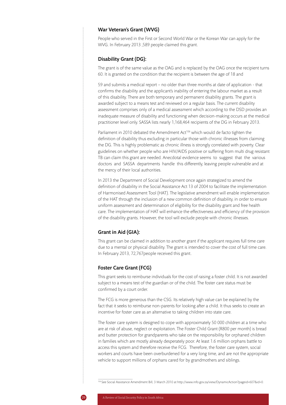#### War Veteran's Grant (WVG)

People who served in the First or Second World War or the Korean War can apply for the WVG. In February 2013 ,589 people claimed this grant.

#### Disability Grant (DG):

The grant is of the same value as the OAG and is replaced by the OAG once the recipient turns 60. It is granted on the condition that the recipient is between the age of 18 and

59 and submits a medical report – no older than three months at date of application - that confirms the disability and the applicant's inability of entering the labour market as a result of this disability. There are both temporary and permanent disability grants. The grant is awarded subject to a means test and reviewed on a regular basis. The current disability assessment comprises only of a medical assessment which according to the DSD provides an inadequate measure of disability and functioning when decision-making occurs at the medical practitioner level only. SASSA lists nearly 1,168,464 recipients of the DG in February 2013.

Parliament in 2010 debated the Amendment Act<sup>106</sup> which would de facto tighten the definition of disability thus excluding in particular those with chronic illnesses from claiming the DG. This is highly problematic as chronic illness is strongly correlated with poverty. Clear guidelines on whether people who are HIV/AIDS positive or suffering from multi drug resistant TB can claim this grant are needed. Anecdotal evidence seems to suggest that the various doctors and SASSA departments handle this differently, leaving people vulnerable and at the mercy of their local authorities.

In 2013 the Department of Social Development once again strategized to amend the definition of disability in the Social Assistance Act 13 of 2004 to facilitate the implementation of Harmonised Assessment Tool (HAT). The legislative amendment will enable implementation of the HAT through the inclusion of a new common definition of disability, in order to ensure uniform assessment and determination of eligibility for the disability grant and free health care. The implementation of HAT will enhance the effectiveness and efficiency of the provision of the disability grants. However, the tool will exclude people with chronic illnesses.

#### Grant in Aid (GIA):

This grant can be claimed in addition to another grant if the applicant requires full time care due to a mental or physical disability. The grant is intended to cover the cost of full time care. In February 2013, 72,767people received this grant.

#### Foster Care Grant (FCG)

This grant seeks to reimburse individuals for the cost of raising a foster child. It is not awarded subject to a means test of the guardian or of the child. The foster care status must be confirmed by a court order.

The FCG is more generous than the CSG. Its relatively high value can be explained by the fact that it seeks to reimburse non-parents for looking after a child. It thus seeks to create an incentive for foster care as an alternative to taking children into state care.

The foster care system is designed to cope with approximately 50 000 children at a time who are at risk of abuse, neglect or exploitation. The Foster Child Grant (R800 per month) is bread and butter protection for grandparents who take on the responsibility for orphaned children in families which are mostly already desperately poor. At least 1.6 million orphans battle to access this system and therefore receive the FCG. Therefore, the foster care system, social workers and courts have been overburdened for a very long time, and are not the appropriate vehicle to support millions of orphans cared for by grandmothers and siblings.

106 See Social Assistance Amendment Bill, 3 March 2010 at http://www.info.gov.za/view/DynamicAction?pageid=607&id=0.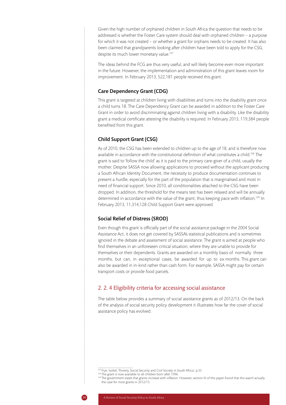Given the high number of orphaned children in South Africa the question that needs to be addressed is whether the Foster Care system should deal with orphaned children – a purpose for which it was not created – or whether a grant for orphans needs to be created. It has also been claimed that grandparents looking after children have been told to apply for the CSG, despite its much lower monetary value.<sup>107</sup>

The ideas behind the FCG are thus very useful, and will likely become even more important in the future. However, the implementation and administration of this grant leaves room for improvement. In February 2013, 522,181 people received this grant.

#### Care Dependency Grant (CDG)

This grant is targeted at children living with disabilities and turns into the disability grant once a child turns 18. The Care Dependency Grant can be awarded in addition to the Foster Care Grant in order to avoid discriminating against children living with a disability. Like the disability grant a medical certificate attesting the disability is required. In February 2013, 119,384 people benefited from this grant.

#### Child Support Grant (CSG)

As of 2010, the CSG has been extended to children up to the age of 18, and is therefore now available in accordance with the constitutional definition of what constitutes a child.<sup>108</sup> The grant is said to 'follow the child' as it is paid to the primary care-giver of a child, usually the mother. Despite SASSA now allowing applications to proceed without the applicant producing a South African Identity Document, the necessity to produce documentation continues to present a hurdle, especially for the part of the population that is marginalised and most in need of financial support. Since 2010, all conditionalities attached to the CSG have been dropped. In addition, the threshold for the means test has been relaxed and will be annually determined in accordance with the value of the grant, thus keeping pace with inflation.109 In February 2013, 11,314,128 Child Support Grant were approved.

#### Social Relief of Distress (SROD)

Even though this grant is officially part of the social assistance package in the 2004 Social Assistance Act, it does not get covered by SASSA's statistical publications and is sometimes ignored in the debate and assessment of social assistance. The grant is aimed at people who find themselves in an unforeseen critical situation, where they are unable to provide for themselves or their dependents. Grants are awarded on a monthly basis of normally three months, but can, in exceptional cases, be awarded for up to six months. This grant can also be awarded in in-kind rather than cash form. For example, SASSA might pay for certain transport costs or provide food parcels.

#### 2. 2. 4 Eligibility criteria for accessing social assistance

The table below provides a summary of social assistance grants as of 2012/13. On the back of the analysis of social security policy development it illustrates how far the cover of social assistance policy has evolved.

<sup>107</sup> Frye, Isobel, 'Poverty, Social Security and Civil Society in South Africa', p.33.

<sup>&</sup>lt;sup>108</sup> The grant is now available to all children born after 1996.

<sup>&</sup>lt;sup>109</sup> The government states that grants increase with inflation. However, section III of this paper found that this wasn't actually the case for most grants in 2012/13.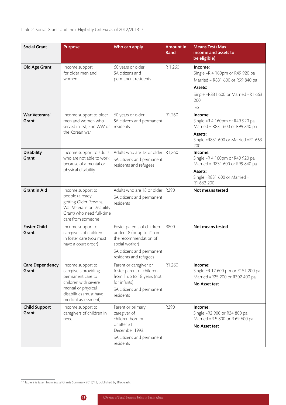## Table 2: Social Grants and their Eligibility Criteria as of 2012/2013<sup>110</sup>

| <b>Social Grant</b>             | <b>Purpose</b>                                                                                                                                                 | Who can apply                                                                                                                                            | <b>Amount in</b><br>Rand | <b>Means Test (Max</b><br>income and assets to<br>be eligible)                                                                                     |
|---------------------------------|----------------------------------------------------------------------------------------------------------------------------------------------------------------|----------------------------------------------------------------------------------------------------------------------------------------------------------|--------------------------|----------------------------------------------------------------------------------------------------------------------------------------------------|
| Old Age Grant                   | Income support<br>for older men and<br>women                                                                                                                   | 60 years or older<br>SA citizens and<br>permanent residents                                                                                              | R 1,260                  | Income:<br>Single = R 4 160pm or R49 920 pa<br>Married = R831 600 or R99 840 pa<br>Assets:<br>Single = R831 600 or Married = R1 663<br>200<br>lko. |
| War Veterans'<br>Grant          | Income support to older<br>men and women who<br>served in 1st, 2nd WW or<br>the Korean war                                                                     | 60 years or older<br>SA citizens and permanent<br>residents                                                                                              | R1,260                   | Income:<br>Single = R 4 160pm or R49 920 pa<br>Married = R831 600 or R99 840 pa<br>Assets:<br>Single = R831 600 or Married = R1 663<br>200         |
| <b>Disability</b><br>Grant      | Income support to adults<br>who are not able to work<br>because of a mental or<br>physical disability                                                          | Adults who are 18 or older R1,260<br>SA citizens and permanent<br>residents and refugees                                                                 |                          | Income:<br>Single = R 4 160pm or R49 920 pa<br>Married = R831 600 or R99 840 pa<br>Assets:<br>Single = R831 600 or Married =<br>R1 663 200         |
| <b>Grant in Aid</b>             | Income support to<br>people (already<br>getting Older Persons;<br>War Veterans or Disability<br>Grant) who need full-time<br>care from someone                 | Adults who are 18 or older R290<br>SA citizens and permanent<br>residents                                                                                |                          | Not means tested                                                                                                                                   |
| <b>Foster Child</b><br>Grant    | Income support to<br>caregivers of children<br>in foster care (you must<br>have a court order)                                                                 | Foster parents of children<br>under 18 (or up to 21 on<br>the recommendation of<br>social worker)<br>SA citizens and permanent<br>residents and refugees | R800                     | Not means tested                                                                                                                                   |
| <b>Care Dependency</b><br>Grant | Income support to<br>caregivers providing<br>permanent care to<br>children with severe<br>mental or physical<br>disabilities (must have<br>medical assessment) | Parent or caregiver or<br>foster parent of children<br>from 1 up to 18 years (not<br>for infants)<br>SA citizens and permanent<br>residents              | R1,260                   | Income:<br>Single = R 12 600 pm or R151 200 pa<br>Married = R25 200 or R302 400 pa<br>No Asset test                                                |
| <b>Child Support</b><br>Grant   | Income support to<br>caregivers of children in<br>need.                                                                                                        | Parent or primary<br>caregiver of<br>children born on<br>or after 31<br>December 1993.<br>SA citizens and permanent<br>residents                         | R290                     | Income:<br>Single = R2 900 or R34 800 pa<br>Married = R 5 800 or R 69 600 pa<br>No Asset test                                                      |

 $\frac{110}{10}$  Table 2 is taken from Social Grants Summary 2012/13, published by Blacksash.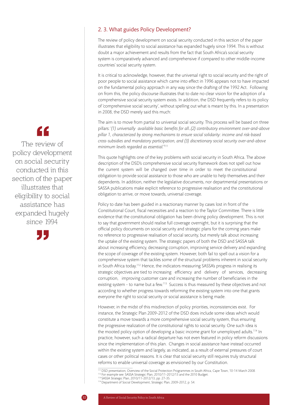#### 2. 3. What guides Policy Development?

The review of policy development on social security conducted in this section of the paper illustrates that eligibility to social assistance has expanded hugely since 1994. This is without doubt a major achievement and results from the fact that South Africa's social security system is comparatively advanced and comprehensive if compared to other middle-income countries' social security system.

It is critical to acknowledge, however, that the universal right to social security and the right of poor people to social assistance which came into effect in 1996 appears not to have impacted on the fundamental policy approach in any way since the drafting of the 1992 Act. Following on from this, the policy discourse illustrates that to date no clear vision for the adoption of a comprehensive social security system exists. In addition, the DSD frequently refers to its policy of 'comprehensive social security', without spelling out what is meant by this. In a presentation in 2008, the DSD merely said this much:

The aim is to move from partial to universal social security. This process will be based on three pillars: '*(1) universally available basic benefits for all…(2) contributory environment over-and-above pillar 1, characterized by strong mechanisms to ensure social solidarity: income and risk-based cross-subsidies and mandatory participation, and (3) discretionary social security over-and-above minimum levels regarded as essential.'111*

This quote highlights one of the key problems with social security in South Africa. The above description of the DSD's comprehensive social security framework does not spell out how the current system will be changed over time in order to meet the constitutional obligation to provide social assistance to those who are unable to help themselves and their dependents. In addition, neither the legislative documents, nor departmental presentations or SASSA publications make explicit reference to progressive realisation and the constitutional obligation to arrive, or move towards, universal coverage.

Policy to date has been guided in a reactionary manner by cases lost in front of the Constitutional Court, fiscal necessities and a reaction to the Taylor Committee. There is little evidence that the constitutional obligation has been driving policy development. This is not to say that government should realise full coverage overnight, but it is surprising that the official policy documents on social security and strategic plans for the coming years make no reference to progressive realisation of social security, but merely talk about increasing the uptake of the existing system. The strategic papers of both the DSD and SASSA talk about increasing efficiency, decreasing corruption, improving service delivery and expanding the scope of coverage of the existing system. However, both fail to spell out a vision for a comprehensive system that tackles some of the structural problems inherent in social security in South Africa today.<sup>112</sup> Hence, the indicators measuring SASSA's progress in realising its strategic objectives are tied to increasing efficiency and delivery of services, decreasing corruption, improving customer care and increasing the number of beneficiaries in the existing system - to name but a few.<sup>113</sup> Success is thus measured by these objectives and not according to whether progress towards reforming the existing system into one that grants everyone the right to social security or social assistance is being made.

However, in the midst of this misdirection of policy priorities, inconsistencies exist. For instance, the Strategic Plan 2009-2012 of the DSD does include some ideas which would constitute a move towards a more comprehensive social security system, thus ensuring the progressive realization of the constitutional rights to social security. One such idea is the mooted policy option of developing a basic income grant for unemployed adults.<sup>114</sup> In practice, however, such a radical departure has not even featured in policy reform discussions since the implementation of this plan. Changes in social assistance have instead occurred within the existing system and largely, as indicated, as a result of external pressures of court cases or other political reasons. It is clear that social security still requires truly structural reforms to enable universal coverage as envisioned by our Constitution.

111 DSD presentation, Overview of the Social Protection Programmes in South Africa, Cape Town, 10-14 March 2008. <sup>112</sup> For example see: SASSA Strategic Plan, 2010/11-2012/13 and the 2010 Budget.

113 SASSA Strategic Plan, 2010/11-2012/13, pp. 27-35.

114 Department of Social Development, Strategic Plan, 2009-2012, p. 54.

 $\epsilon$ The review of policy development on social security conducted in this section of the paper illustrates that eligibility to social assistance has expanded hugely since 1994

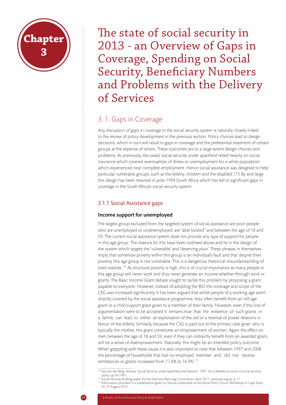

The state of social security in 2013 - an Overview of Gaps in Coverage, Spending on Social Security, Beneficiary Numbers and Problems with the Delivery of Services

## 3. 1. Gaps in Coverage

Any discussion of gaps in coverage in the social security system is naturally closely linked to the review of policy development in the previous section. Policy choices lead to design decisions, which in turn will result in gaps in coverage and the preferential treatment of certain groups at the expense of others. These outcomes are to a large extent design choices and problems. As previously discussed, social security under apartheid relied heavily on social insurance which covered eventualities of illness or unemployment for a white population which experienced near complete employment. Hence social assistance was designed to help particular vulnerable groups, such as the elderly, children and the disabled.115 By and large this design has been retained in post-1994 South Africa which has led to significant gaps in coverage in the South African social security system.

## 3.1.1 Social Assistance gaps

#### Income support for unemployed

The largest group excluded from the targeted system of social assistance are poor people who are unemployed or underemployed, are "able bodied" and between the age of 18 and 59. The current social assistance system does not provide any type of support for people in this age group. The reasons for this have been outlined above and lie in the design of the system which targets the 'vulnerable' and 'deserving poor.' These phrases in themselves imply that somehow poverty within this group is an individual's fault and that despite their poverty, this age group is not vulnerable. This is a dangerous rhetorical misunderstanding of lived realities.<sup>116</sup> As structural poverty is high, this is of crucial importance as many people in this age group will never work and thus never generate an income whether through work or grants. The Basic Income Grant debate sought to tackle this problem by proposing a grant payable to everyone. However, instead of adopting the BIG the coverage and scope of the CSG was increased significantly. It has been argued that whilst people of a working age aren't directly covered by the social assistance programme, they often benefit from an old age grant or a child support grant given to a member of their family. However, even if this line of argumentation were to be accepted it remains true that the existence of such grants in a family can lead to either an exploitation of the old or a reversal of power relations in favour of the elderly. Similarly, because the CSG is paid out to the primary care-giver, who is typically the mother, this grant constitutes an empowerment of women. Again the effect on men between the age of 18 and 59, even if they can indirectly benefit from an awarded grant, will be a sense of disempowerment. Naturally, this might be an intended policy outcome. When grappling with these issues it is also important to note that between 1997 and 2008 the percentage of households that had no employed member and did not receive remittances or grants increased from 11.8% to 16.9%.<sup>117</sup>

<sup>115</sup> See van der Berg, Servaas, 'Social Security under Apartheid and beyond', 1997, for a detailed account of social security policy up till 1997.<br><sup>116</sup> Social Security Briefing paper for the National Planning Commission, April 2011, www.spii.org.za, p. 11

<sup>117</sup> Information provided in a presentation given by Murray Leibbrandt at the Social Policy Forum Workshop in Cape Town, 26-27 August 2010.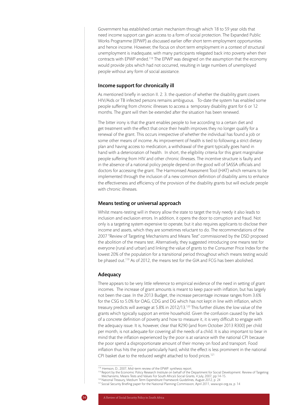Government has established certain mechanism through which 18 to 59 year olds that need income support can gain access to a form of social protection. The Expanded Public Works Programme (EPWP) as discussed earlier offer short term employment opportunities and hence income. However, the focus on short term employment in a context of structural unemployment is inadequate, with many participants relegated back into poverty when their contracts with EPWP ended.118 The EPWP was designed on the assumption that the economy would provide jobs which had not occurred, resulting in large numbers of unemployed people without any form of social assistance.

#### Income support for chronically ill

As mentioned briefly in section II. 2. 3. the question of whether the disability grant covers HIV/Aids or TB infected persons remains ambiguous. To-date the system has enabled some people suffering from chronic illnesses to access a temporary disability grant for 6 or 12 months. The grant will then be extended after the situation has been renewed.

The bitter irony is that the grant enables people to live according to a certain diet and get treatment with the effect that once their health improves they no longer qualify for a renewal of the grant. This occurs irrespective of whether the individual has found a job or some other means of income. As improvement of health is tied to following a strict dietary plan and having access to medication, a withdrawal of the grant typically goes hand in hand with a deterioration of health. In short, the eligibility criteria for this grant marginalise people suffering from HIV and other chronic illnesses. The incentive structure is faulty and in the absence of a national policy people depend on the good will of SASSA officials and doctors for accessing the grant. The Harmonised Assessment Tool (HAT) which remains to be implemented through the inclusion of a new common definition of disability aims to enhance the effectiveness and efficiency of the provision of the disability grants but will exclude people with chronic illnesses.

#### Means testing or universal approach

Whilst means-testing will in theory allow the state to target the truly needy it also leads to inclusion and exclusion errors. In addition, it opens the door to corruption and fraud. Not only is a targeting system expensive to operate, but it also requires applicants to disclose their income and assets, which they are sometimes reluctant to do. The recommendations of the 2007 "Review of Targeting Mechanisms and Means Test" commissioned by the DSD proposed the abolition of the means test. Alternatively, they suggested introducing one means test for everyone (rural and urban) and linking the value of grants to the Consumer Price Index for the lowest 20% of the population for a transitional period throughout which means testing would be phased out.<sup>119</sup> As of 2012, the means test for the GIA and FCG has been abolished.

#### Adequacy

There appears to be very little reference to empirical evidence of the need in setting of grant incomes. The increase of grant amounts is meant to keep pace with inflation, but has largely not been the case. In the 2013 Budget, the increase percentage increase ranges from 3.6% for the CSG to 5.0% for OAG, CDG and DG which has not kept in line with inflation, which treasury predicts will average at 5.8% in 2012/13.120 This further dilutes the low value of the grants which typically support an entire household. Given the confusion caused by the lack of a concrete definition of poverty and how to measure it, it is very difficult to engage with the adequacy issue. It is, however, clear that R290 (and from October 2013 R300) per child per month, is not adequate for covering all the needs of a child. It is also important to bear in mind that the inflation experienced by the poor is at variance with the national CPI because the poor spend a disproportionate amount of their money on food and transport. Food inflation thus hits the poor particularly hard, whilst the effect is less prominent in the national CPI basket due to the reduced weight attached to food prices.<sup>121</sup>

<sup>118</sup> Hemson, D., 2007, Mid-term review of the EPWP: synthesis report.

<sup>119</sup> Report by the Economic Policy Research Institute on behalf of the Department for Social Development: Review of Targeting Mechanisms, Means Tests and Values For South Africa's Social Grants, 4 July, 2007, pp.14-15.

<sup>120</sup> National Treasury, Medium Term Expenditure Framework Guidelines, August 2012, p. 24

<sup>121</sup> Social Security Briefing paper for the National Planning Commission, April 2011, www.spii.org.za, p. 14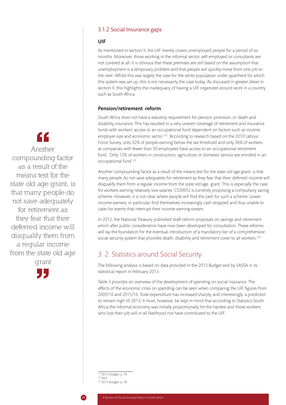#### 3.1.2 Social Insurance gaps

#### UIF

As mentioned in section II, the UIF merely covers unemployed people for a period of six months. Moreover, those working in the informal sector, self-employed or consultants are not covered at all. It is obvious that these premises are still based on the assumption that unemployment is a temporary problem and that people will quickly move from one job to the next. Whilst this was largely the case for the white population under apartheid for which this system was set up, this is not necessarily the case today. As discussed in greater detail in section II, this highlights the inadequacy of having a UIF organized around work in a country such as South Africa.

#### Pension/retirement reform

South Africa does not have a statutory requirement for pension provision, or death and disability insurance. This has resulted in a very uneven coverage of retirement and insurance funds with workers' access to an occupational fund dependent on factors such as income, employer size and economic sector.<sup>122</sup> According to research based on the 2010 Labour Force Survey, only 32% of people earning below the tax threshold and only 36% of workers at companies with fewer than 50 employees have access to an occupational retirement fund. Only 12% of workers in construction, agriculture or domestic service are enrolled in an occupational fund.123

Another compounding factor as a result of the means test for the state old age grant, is that many people do not save adequately for retirement as they fear that their deferred income will disqualify them from a regular income from the state old age grant. This is especially the case for workers earning relatively low salaries. COSATU is currently proposing a compulsory saving scheme. However, it is not clear where people will find the cash for such a scheme. Lower income earners, in particular, find themselves increasingly cash strapped and thus unable to cater for events that interrupt their income earning stream.

In 2012, the National Treasury published draft reform proposals on savings and retirement which after public consideration have now been developed for consultation. These reforms will lay the foundation for the eventual introduction of a mandatory tier of a comprehensive social security system that provides death, disability and retirement cover to all workers.<sup>124</sup>

## 3. 2. Statistics around Social Security

The following analysis is based on data provided in the 2013 Budget and by SASSA in its statistical report in February 2013.

Table 3 provides an overview of the development of spending on social insurance. The effects of the economic crisis on spending can be seen when comparing the UIF figures from 2009/10 and 2015/16. Total expenditure has increased sharply, and interestingly, is predicted to remain high till 2013. It must, however, be kept in mind that according to Statistics South Africa the informal economy was initially proportionally hit the hardest and those workers who lost their job will in all likelihood not have contributed to the UIF.

122 2013 Budget, p. 93  $123$  Ibid 124 2013 Budget, p. 94

# "

Another compounding factor as a result of the means test for the state old age grant, is that many people do not save adequately for retirement as they fear that their deferred income will disqualify them from a regular income from the state old age

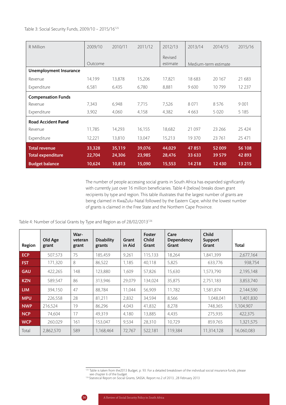Table 3: Social Security Funds, 2009/10 – 2015/16125

| R Million                     | 2009/10 | 2010/11 | 2011/12 | 2012/13  | 2013/14              | 2014/15 | 2015/16 |
|-------------------------------|---------|---------|---------|----------|----------------------|---------|---------|
|                               |         |         |         | Revised  |                      |         |         |
|                               | Qutcome |         |         | estimate | Medium-term estimate |         |         |
| <b>Unemployment Insurance</b> |         |         |         |          |                      |         |         |
| Revenue                       | 14,199  | 13,878  | 15,206  | 17,821   | 18 683               | 20 167  | 21 683  |
| Expenditure                   | 6,581   | 6,435   | 6,780   | 8,881    | 9600                 | 10799   | 12 237  |
| <b>Compensation Funds</b>     |         |         |         |          |                      |         |         |
| Revenue                       | 7,343   | 6,948   | 7,715   | 7,526    | 8 0 7 1              | 8576    | 9 0 0 1 |
| Expenditure                   | 3,902   | 4,060   | 4,158   | 4,382    | 4 6 6 3              | 5 0 2 0 | 5 1 8 5 |
| <b>Road Accident Fund</b>     |         |         |         |          |                      |         |         |
| Revenue                       | 11,785  | 14,293  | 16,155  | 18,682   | 21 097               | 23 26 6 | 25 4 24 |
| Expenditure                   | 12,221  | 13,810  | 13,047  | 15,213   | 19 370               | 23761   | 25 471  |
| <b>Total revenue</b>          | 33,328  | 35,119  | 39,076  | 44,029   | 47851                | 52 009  | 56 108  |
| <b>Total expenditure</b>      | 22,704  | 24,306  | 23,985  | 28,476   | 33 633               | 39 579  | 42 893  |
| <b>Budget balance</b>         | 10,624  | 10,813  | 15,090  | 15,553   | 14 2 18              | 12430   | 13 215  |

The number of people accessing social grants in South Africa has expanded significantly with currently just over 16 million beneficiaries. Table 4 (below) breaks down grant recipients by type and region. This table illustrates that the largest number of grants are being claimed in KwaZulu-Natal followed by the Eastern Cape, whilst the lowest number of grants is claimed in the Free State and the Northern Cape Province.

Table 4: Number of Social Grants by Type and Region as of 28/02/2013126

| Region     | Old Age<br>grant | War-<br>veteran<br>grant | <b>Disability</b><br>grants | Grant<br>in Aid | Foster<br><b>Child</b><br>Grant | Care<br>Dependency<br>Grant | <b>Child</b><br>Support<br>Grant | <b>Total</b> |
|------------|------------------|--------------------------|-----------------------------|-----------------|---------------------------------|-----------------------------|----------------------------------|--------------|
| <b>ECP</b> | 507,573          | 75                       | 185,459                     | 9,261           | 115,133                         | 18,264                      | 1,841,399                        | 2,677,164    |
| <b>FST</b> | 171,320          | 8                        | 86,522                      | 1,185           | 40,118                          | 5.825                       | 633,776                          | 938,754      |
| <b>GAU</b> | 422,265          | 148                      | 123,880                     | 1,609           | 57,826                          | 15,630                      | 1,573,790                        | 2,195,148    |
| <b>KZN</b> | 589,547          | 86                       | 313,946                     | 29,079          | 134,024                         | 35,875                      | 2,751,183                        | 3,853,740    |
| <b>LIM</b> | 394,150          | 47                       | 88,784                      | 11,044          | 56,909                          | 11,782                      | 1,581,874                        | 2,144,590    |
| <b>MPU</b> | 226,558          | 28                       | 81,211                      | 2,832           | 34,594                          | 8,566                       | 1,048,041                        | 1,401,830    |
| <b>NWP</b> | 216,524          | 19                       | 86,296                      | 4,043           | 41,832                          | 8,278                       | 748,365                          | 1,104,907    |
| <b>NCP</b> | 74,604           | 17                       | 49,319                      | 4,180           | 13,885                          | 4,435                       | 275,935                          | 422,375      |
| <b>WCP</b> | 260,029          | 161                      | 153,047                     | 9,534           | 28,310                          | 10,729                      | 859,765                          | 1,321,575    |
| Total      | 2,862,570        | 589                      | 1,168,464                   | 72,767          | 522,181                         | 119,384                     | 11,314,128                       | 16,060,083   |

<sup>125</sup> Table is taken from the2013 Budget, p. 93. For a detailed breakdown of the individual social insurance funds, please

see chapter 6 of the budget.<br><sup>126</sup> Statistical Report on Social Grants, SASSA, Report no.2 of 2013, ,28 February 2013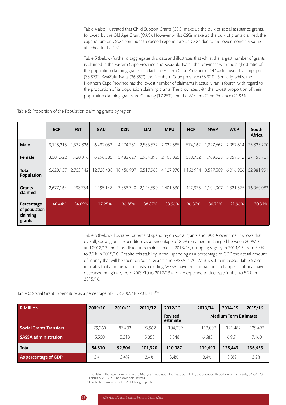Table 4 also illustrated that Child Support Grants (CSG) make up the bulk of social assistance grants, followed by the Old Age Grant (OAG). However whilst CSGs make up the bulk of grants claimed, the expenditure on OAGs continues to exceed expenditure on CSGs due to the lower monetary value attached to the CSG.

Table 5 (below) further disaggregates this data and illustrates that whilst the largest number of grants is claimed in the Eastern Cape Province and KwaZulu-Natal, the provinces with the highest ratio of the population claiming grants is in fact the Eastern Cape Province (40.44%) followed by Limpopo (38.87%), KwaZulu-Natal (36.85%) and Northern Cape province (36.32%). Similarly, whilst the Northern Cape Province has the lowest number of claimants it actually ranks fourth with regard to the proportion of its population claiming grants. The provinces with the lowest proportion of their population claiming grants are Gauteng (17.25%) and the Western Cape Province (21.96%).

|                                                   | <b>ECP</b> | <b>FST</b> | <b>GAU</b> | <b>KZN</b> | <b>LIM</b> | <b>MPU</b> | <b>NCP</b> | <b>NWP</b> | <b>WCP</b> | South<br>Africa |
|---------------------------------------------------|------------|------------|------------|------------|------------|------------|------------|------------|------------|-----------------|
| Male                                              | 3,118,215  | 1,332,826  | 6,432,053  | 4,974,281  | 2,583,572  | 2,022,885  | 574,162    | 1,827,662  | 2,957,614  | 25,823,270      |
| Female                                            | 3,501,922  | 1,420,316  | 6,296,385  | 5,482,627  | 2,934,395  | 2,105,085  | 588,752    | 1,769,928  | 3,059,312  | 27,158,721      |
| Total<br>Population                               | 6,620,137  | 2,753,142  | 12,728,438 | 10,456,907 | 5,517,968  | 4,127,970  | 1,162,914  | 3,597,589  | 6,016,926  | 52,981,991      |
| <b>Grants</b><br>claimed                          | 2,677,164  | 938,754    | 2,195,148  | 3,853,740  | 2,144,590  | 1,401,830  | 422,375    | 1,104,907  | 1,321,575  | 16,060,083      |
| Percentage<br>of population<br>claiming<br>grants | 40.44%     | 34.09%     | 17.25%     | 36.85%     | 38.87%     | 33.96%     | 36.32%     | 30.71%     | 21.96%     | 30.31%          |

Table 5: Proportion of the Population claiming grants by region<sup>127</sup>

Table 6 (below) illustrates patterns of spending on social grants and SASSA over time. It shows that overall, social grants expenditure as a percentage of GDP remained unchanged between 2009/10 and 2012/13 and is predicted to remain stable till 2013/14, dropping slightly in 2014/15, from 3.4% to 3.2% in 2015/16. Despite this stability in the spending as a percentage of GDP, the actual amount of money that will be spent on Social Grants and SASSA in 2012/13 is set to increase. Table 6 also indicates that administration costs including SASSA, payment contractors and appeals tribunal have decreased marginally from 2009/10 to 2012/13 and are expected to decrease further to 5.2% in 2015/16.

#### Table 6: Social Grant Expenditure as a percentage of GDP, 2009/10-2015/16128

| <b>R</b> Million               | 2009/10 | 2010/11 | 2011/12 | 2012/13                    | 2013/14 | 2014/15                      | 2015/16 |
|--------------------------------|---------|---------|---------|----------------------------|---------|------------------------------|---------|
|                                |         |         |         | <b>Revised</b><br>estimate |         | <b>Medium Term Estimates</b> |         |
| <b>Social Grants Transfers</b> | 79.260  | 87.493  | 95.962  | 104.239                    | 113.007 | 121.482                      | 129.493 |
| <b>SASSA administration</b>    | 5.550   | 5.313   | 5,358   | 5.848                      | 6,683   | 6.961                        | 7.160   |
| <b>Total</b>                   | 84.810  | 92.806  | 101.320 | 110,087                    | 119.690 | 128.443                      | 136,653 |
| As percentage of GDP           | 3.4     | 3.4%    | 3.4%    | 3.4%                       | 3.4%    | 3.3%                         | 3.2%    |

127 The data in the table comes from the Mid-year Population Estimate, pp. 14-15, the Statistical Report on Social Grants, SASSA, 28 February 2013, p. 8 and own calculations.

<sup>128</sup> This table is taken from the 2013 Budget, p. 86.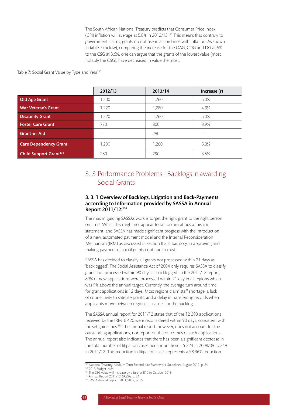The South African National Treasury predicts that Consumer Price Index (CPI) inflation will average at 5.8% in 2012/13.129 This means that contrary to government claims, grants do not rise in accordance with inflation. As shown in table 7 (below), comparing the increase for the OAG, CDG and DG at 5% to the CSG at 3.6%, one can argue that the grants of the lowest value (most notably the CSG), have decreased in value the most.

Table 7: Social Grant Value by Type and Year<sup>130</sup>

|                                    | 2012/13 | 2013/14 | Increase (r) |
|------------------------------------|---------|---------|--------------|
| <b>Old Age Grant</b>               | 1.200   | 1,260   | 5.0%         |
| <b>War Veteran's Grant</b>         | 1.220   | 1.280   | 4.9%         |
| <b>Disability Grant</b>            | 1,220   | 1,260   | 5.0%         |
| <b>Foster Care Grant</b>           | 770     | 800     | 3.9%         |
| <b>Grant-in-Aid</b>                |         | 290     | ۰            |
| <b>Care Dependency Grant</b>       | 1.200   | 1,260   | 5.0%         |
| Child Support Grant <sup>131</sup> | 280     | 290     | 3.6%         |

## 3. 3 Performance Problems - Backlogs in awarding Social Grants

#### 3. 3. 1 Overview of Backlogs, Litigation and Back-Payments according to Information provided by SASSA in Annual Report 2011/12:132

The maxim guiding SASSA's work is to 'get the right grant to the right person on time'. Whilst this might not appear to be too ambitious a mission statement, and SASSA has made significant progress with the introduction of a new, automated payment model and the Internal Reconsideration Mechanism (IRM) as discussed in section II.2.2, backlogs in approving and making payment of social grants continue to exist.

SASSA has decided to classify all grants not processed within 21 days as 'backlogged'. The Social Assistance Act of 2004 only requires SASSA to classify grants not processed within 90 days as backlogged. In the 2011/12 report, 89% of new applications were processed within 21 day in all regions which was 9% above the annual target. Currently, the average turn around time for grant applications is 12 days. Most regions claim staff shortage, a lack of connectivity to satellite points, and a delay in transferring records when applicants move between regions as causes for the backlog.

The SASSA annual report for 2011/12 states that of the 12 393 applications received by the IRM, 6 420 were reconsidered within 90 days, consistent with the set guidelines.<sup>133</sup> The annual report, however, does not account for the outstanding applications, nor report on the outcomes of such applications. The annual report also indicates that there has been a significant decrease in the total number of litigation cases per annum from 15 224 in 2008/09 to 249 in 2011/12. This reduction in litigation cases represents a 98.36% reduction

<sup>133</sup> SASSA Annual Report, 2011/2012, p. 15



<sup>129</sup> National Treasury, Medium Term Expenditure Framework Guidelines, August 2012, p. 24.

<sup>&</sup>lt;sup>130</sup> 2013 Budget, p.84.

<sup>&</sup>lt;sup>131</sup> The CSG value will increase by a further R10 in October 2013.

<sup>132</sup> Annual Report 2011/12, SASSA, p. 24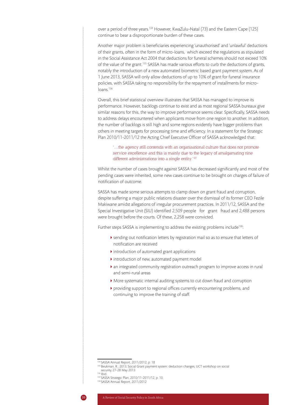over a period of three years.<sup>134</sup> However, KwaZulu-Natal (73) and the Eastern Cape (125) continue to bear a disproportionate burden of these cases.

Another major problem is beneficiaries experiencing 'unauthorised' and 'unlawful' deductions of their grants, often in the form of micro-loans, which exceed the regulations as stipulated in the Social Assistance Act 2004 that deductions for funeral schemes should not exceed 10% of the value of the grant.135 SASSA has made various efforts to curb the deductions of grants, notably the introduction of a new automated biometric based grant payment system. As of 1 June 2013, SASSA will only allow deductions of up to 10% of grant for funeral insurance policies, with SASSA taking no responsibility for the repayment of installments for microloans.136

Overall, this brief statistical overview illustrates that SASSA has managed to improve its performance. However, backlogs continue to exist and as most regional SASSA bureaux give similar reasons for this, the way to improve performance seems clear. Specifically, SASSA needs to address delays encountered when applicants move from one region to another. In addition, the number of backlogs is still high and some regions evidently have bigger problems than others in meeting targets for processing time and efficiency. In a statement for the Strategic Plan 2010/11-2011/12 the Acting Chief Executive Officer of SASSA acknowledged that:

#### '…the agency still contends with an organisational culture that does not promote service excellence and this is mainly due to the legacy of amalgamating nine different administrations into a single entity.<sup>'137</sup>

Whilst the number of cases brought against SASSA has decreased significantly and most of the pending cases were inherited, some new cases continue to be brought on charges of failure of notification of outcome.

SASSA has made some serious attempts to clamp down on grant fraud and corruption, despite suffering a major public relations disaster over the dismissal of its former CEO Fezile Makiwane amidst allegations of irregular procurement practices. In 2011/12, SASSA and the Special Investigative Unit (SIU) identified 2,509 people for grant fraud and 2,488 persons were brought before the courts. Of these, 2,258 were convicted.

Further steps SASSA is implementing to address the existing problems include<sup>138</sup>:

- sending out notification letters by registration mail so as to ensure that letters of notification are received
- $\blacktriangleright$  introduction of automated grant applications
- introduction of new, automated payment model
- an integrated community registration outreach program to improve access in rural and semi-rural areas
- More systematic internal auditing systems to cut down fraud and corruption
- providing support to regional offices currently encountering problems, and continuing to improve the training of staff.

<sup>134</sup> SASSA Annual Report, 2011/2012, p. 18

<sup>135</sup> Beukman, R., 2013, Social Grant payment system: deduction changes, UCT workshop on social security, 27-28 May 2013.

<sup>136</sup> Ibid.

<sup>137</sup> SASSA Strategic Plan, 2010/11-2011/12, p. 10.

<sup>138</sup> SASSA Annual Report, 2011/2012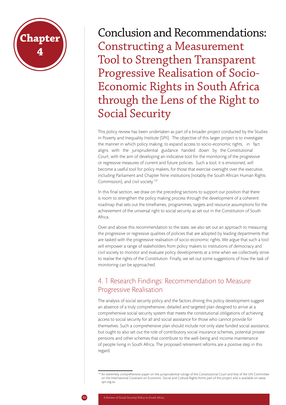

Conclusion and Recommendations: Constructing a Measurement Tool to Strengthen Transparent Progressive Realisation of Socio-Economic Rights in South Africa through the Lens of the Right to Social Security

This policy review has been undertaken as part of a broader project conducted by the Studies in Poverty and Inequality Institute (SPII). The objective of this larger project is to investigate the manner in which policy making, to expand access to socio-economic rights, in fact aligns with the jurisprudential guidance handed down by the Constitutional Court, with the aim of developing an indicative tool for the monitoring of the progressive or regressive measures of current and future policies. Such a tool, it is envisioned, will become a useful tool for policy makers, for those that exercise oversight over the executive, including Parliament and Chapter Nine institutions (notably the South African Human Rights Commission), and civil society.139

In this final section, we draw on the preceding sections to support our position that there is room to strengthen the policy making process through the development of a coherent roadmap that sets out the timeframes, programmes, targets and resource assumptions for the achievement of the universal right to social security as set out in the Constitution of South Africa.

Over and above this recommendation to the state, we also set out an approach to measuring the progressive or regressive qualities of policies that are adopted by leading departments that are tasked with the progressive realisation of socio-economic rights. We argue that such a tool will empower a range of stakeholders from policy makers to institutions of democracy and civil society to monitor and evaluate policy developments at a time when we collectively strive to realise the rights of the Constitution. Finally, we set out some suggestions of how the task of monitoring can be approached.

# 4. 1 Research Findings: Recommendation to Measure Progressive Realisation

The analysis of social security policy and the factors driving this policy development suggest an absence of a truly comprehensive, detailed and targeted plan designed to arrive at a comprehensive social security system that meets the constitutional obligations of achieving access to social security for all and social assistance for those who cannot provide for themselves. Such a comprehensive plan should include not only state funded social assistance, but ought to also set out the role of contributory social insurance schemes, potential private pensions and other schemes that contribute to the well-being and income maintenance of people living in South Africa. The proposed retirement reforms are a positive step in this regard.

<sup>139</sup> An extremely comprehensive paper on the jurisprudential rulings of the Constitutional Court and that of the UN Committee on the International Covenant on Economic, Social and Cultural Rights forms part of this project and is available on www. spii.org.za.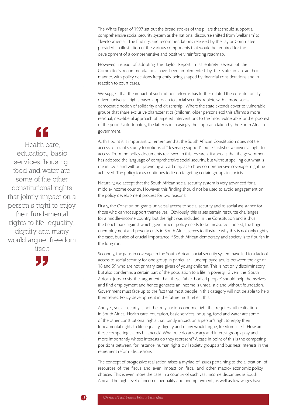The White Paper of 1997 set out the broad strokes of the pillars that should support a comprehensive social security system as the national discourse shifted from 'welfarism' to 'developmental'. The findings and recommendations released by the Taylor Committee provided an illustration of the various components that would be required for the development of a comprehensive and positively reinforcing roadmap.

However, instead of adopting the Taylor Report in its entirety, several of the Committee's recommendations have been implemented by the state in an ad hoc manner, with policy decisions frequently being shaped by financial considerations and in reaction to court cases.

We suggest that the impact of such ad hoc reforms has further diluted the constitutionally driven, universal, rights based approach to social security, replete with a more social democratic notion of solidarity and citizenship. Where the state extends cover to vulnerable groups that share exclusive characteristics (children, older persons etc) this affirms a more residual, neo-liberal approach of targeted interventions to the 'most vulnerable' or the 'poorest of the poor'. Unfortunately, the latter is increasingly the approach taken by the South African government.

At this point it is important to remember that the South African Constitution does not tie access to social security to notions of "deserving support", but establishes a universal right to access. From the policy documents reviewed in this research, it appears that the government has adopted the language of comprehensive social security, but without spelling out what is meant by it and without providing a road map as to how comprehensive coverage might be achieved. The policy focus continues to lie on targeting certain groups in society.

Naturally, we accept that the South African social security system is very advanced for a middle-income country. However, this finding should not be used to avoid engagement on the policy development process for two reasons:

Firstly, the Constitution grants universal access to social security and to social assistance for those who cannot support themselves. Obviously, this raises certain resource challenges for a middle-income country, but the right was included in the Constitution and is thus the benchmark against which government policy needs to be measured. Indeed, the huge unemployment and poverty crisis in South Africa serves to illustrate why this is not only rightly the case, but also of crucial importance if South African democracy and society is to flourish in the long run.

Secondly, the gaps in coverage in the South African social security system have led to a lack of access to social security for one group in particular – unemployed adults between the age of 18 and 59 who are not primary care givers of young children. This is not only discriminatory, but also condemns a certain part of the population to a life in poverty. Given the South African jobs crisis the argument that these "able bodied people" should help themselves and find employment and hence generate an income is unrealistic and without foundation. Government must face up to the fact that most people in this category will not be able to help themselves. Policy development in the future must reflect this.

And yet, social security is not the only socio-economic right that requires full realisation in South Africa. Health care, education, basic services, housing, food and water are some of the other constitutional rights that jointly impact on a person's right to enjoy their fundamental rights to life, equality, dignity and many would argue, freedom itself. How are these competing claims balanced? What role do advocacy and interest groups play and more importantly whose interests do they represent? A case in point of this is the competing positions between, for instance, human rights civil society groups and business interests in the retirement reform discussions.

The concept of progressive realisation raises a myriad of issues pertaining to the allocation of resources of the fiscus and even impact on fiscal and other macro- economic policy choices. This is even more the case in a country of such vast income disparities as South Africa. The high level of income inequality and unemployment, as well as low wages have

# "

 Health care, education, basic services, housing, food and water are some of the other constitutional rights that jointly impact on a person's right to enjoy their fundamental rights to life, equality, dignity and many would argue, freedom itself

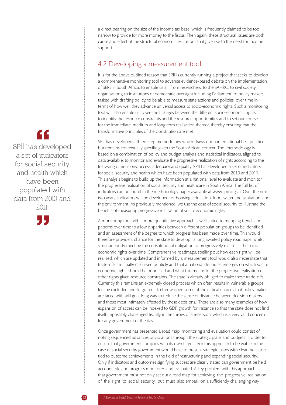a direct bearing on the size of the income tax base, which is frequently claimed to be too narrow to provide for more money to the fiscus. Then again, these structural issues are both cause and effect of the structural economic exclusions that give rise to the need for income support.

# 4.2 Developing a measurement tool

It is for the above outlined reason that SPII is currently running a project that seeks to develop a comprehensive monitoring tool to advance evidence-based debate on the implementation of SERs in South Africa, to enable us all, from researchers, to the SAHRC, to civil society organisations, to institutions of democratic oversight including Parliament, to policy makers tasked with drafting policy, to be able to measure state actions and policies over time in terms of how well they advance universal access to socio-economic rights. Such a monitoring tool will also enable us to see the linkages between the different socio-economic rights, to identify the resource constraints and the resource opportunities and to set our course for the immediate, medium and long term realisation thereof, thereby ensuring that the transformative principles of the Constitution are met.

SPII has developed a three-step methodology which draws upon international best practice but remains contextually specific given the South African context. The methodology is based on a combination of policy and budget analysis and statistical indicators, aligned to data available, to monitor and evaluate the progressive realization of rights according to the following dimensions: access, adequacy and quality. SPII has developed a set of indicators for social security and health which have been populated with data from 2010 and 2011. This analysis begins to build up the information at a national level to evaluate and monitor the progressive realization of social security and healthcare in South Africa. The full list of indicators can be found in the methodology paper available at www.spii.org.za. Over the next two years, indicators will be developed for housing, education, food, water and sanitation, and the environment. As previously mentioned, we use the case of social security to illustrate the benefits of measuring progressive realisation of socio-economic rights.

A monitoring tool with a more quantitative approach is well suited to mapping trends and patterns over time to allow disparities between different population groups to be identified and an assessment of the degree to which progress has been made over time. This would therefore provide a chance for the state to develop its long awaited policy roadmaps, whilst simultaneously meeting the constitutional obligation to progressively realise all the socioeconomic rights over time. Comprehensive roadmaps, spelling out how each right will be realised, which are updated and informed by a measurement tool would also necessitate that trade-offs are finally discussed publicly and that a national discourse emerges on which socioeconomic rights should be prioritised and what this means for the progressive realisation of other rights given resource constraints. The state is already obliged to make these trade-offs. Currently this remains an extremely closed process which often results in vulnerable groups feeling excluded and forgotten. To throw open some of the critical choices that policy makers are faced with will go a long way to reduce the sense of distance between decision makers and those most intimately affected by these decisions. There are also many examples of how expansion of access can be indexed to GDP growth for instance so that the state does not find itself impossibly challenged fiscally in the throes of a recession, which is a very valid concern for any government of the day.

Once government has presented a road map, monitoring and evaluation could consist of noting sequenced advances or violations through the strategic plans and budgets in order to ensure that government complies with its own targets. For this approach to be viable in the case of social security government would have to present strategic plans with clear indicators tied to outcome achievements in the field of restructuring and expanding social security. Only if indicators and outcomes signifying success are clearly stated can government be held accountable and progress monitored and evaluated. A key problem with this approach is that government must not only set out a road map for achieving the progressive realisation of the right to social security, but must also embark on a sufficiently challenging way

# "

SPII has developed a set of indicators for social security and health which have been populated with data from 2010 and 2011

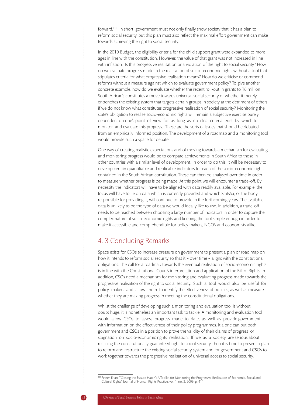forward.140 In short, government must not only finally show society that it has a plan to reform social security, but this plan must also reflect the maximal effort government can make towards achieving the right to social security.

In the 2010 Budget, the eligibility criteria for the child support grant were expanded to more ages in line with the constitution. However, the value of that grant was not increased in line with inflation. Is this progressive realisation or a violation of the right to social security? How do we evaluate progress made in the realisation of socio- economic rights without a tool that stipulates criteria for what progressive realisation means? How do we criticise or commend reforms without a measure against which to evaluate government policy? To give another concrete example, how do we evaluate whether the recent roll-out in grants to 16 million South African's constitutes a move towards universal social security or whether it merely entrenches the existing system that targets certain groups in society at the detriment of others if we do not know what constitutes progressive realisation of social security? Monitoring the state's obligation to realise socio-economic rights will remain a subjective exercise purely dependent on one's point of view for as long as no clear criteria exist by which to monitor and evaluate this progress. These are the sorts of issues that should be debated from an empirically informed position. The development of a roadmap and a monitoring tool would provide such a space for debate.

One way of creating realistic expectations and of moving towards a mechanism for evaluating and monitoring progress would be to compare achievements in South Africa to those in other countries with a similar level of development. In order to do this, it will be necessary to develop certain quantifiable and replicable indicators for each of the socio-economic rights contained in the South African constitution. These can then be analysed over time in order to measure whether progress is being made. At this point we will encounter a trade-off. By necessity the indicators will have to be aligned with data readily available. For example, the focus will have to lie on data which is currently provided and which StatsSa, or the body responsible for providing it, will continue to provide in the forthcoming years. The available data is unlikely to be the type of data we would ideally like to use. In addition, a trade-off needs to be reached between choosing a large number of indicators in order to capture the complex nature of socio-economic rights and keeping the tool simple enough in order to make it accessible and comprehendible for policy makers, NGO's and economists alike.

## 4. 3 Concluding Remarks

Space exists for CSOs to increase pressure on government to present a plan or road map on how it intends to reform social security so that it - over time - aligns with the constitutional obligations. The call for a roadmap towards the eventual realisation of socio-economic rights is in line with the Constitutional Court's interpretation and application of the Bill of Rights. In addition, CSOs need a mechanism for monitoring and evaluating progress made towards the progressive realisation of the right to social security. Such a tool would also be useful for policy makers and allow them to identify the effectiveness of policies, as well as measure whether they are making progress in meeting the constitutional obligations.

Whilst the challenge of developing such a monitoring and evaluation tool is without doubt huge, it is nonetheless an important task to tackle. A monitoring and evaluation tool would allow CSOs to assess progress made to date, as well as provide government with information on the effectiveness of their policy programmes. It alone can put both government and CSOs in a position to prove the validity of their claims of progress or stagnation on socio-economic rights realisation. If we as a society are serious about realising the constitutionally guaranteed right to social security, then it is time to present a plan to reform and restructure the existing social security system and for government and CSOs to work together towards the progressive realisation of universal access to social security.

<sup>140</sup> Felner, Eitan, '"Closing the Escape Hatch": A Toolkit for Monitoring the Progressive Realization of Economic, Social and Cultural Rights', Journal of Human Rights Practice, vol. 1, no. 3, 2009, p. 411.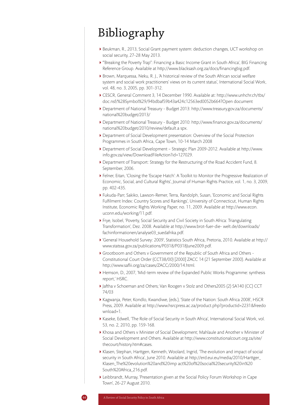# Bibliography

- Beukman, R., 2013, Social Grant payment system: deduction changes, UCT workshop on social security, 27-28 May 2013.
- '"Breaking the Poverty Trap": Financing a Basic Income Grant in South Africa', BIG Financing Reference Group. Available at http://www.blacksash.org.za/docs/financingbig.pdf.
- Brown, Marquessa, Neku, R. J., 'A historical review of the South African social welfare system and social work practitioners' views on its current status', International Social Work, vol. 48, no. 3, 2005, pp. 301-312.
- CESCR, General Comment 3, 14 December 1990. Available at: http://www.unhchr.ch/tbs/ doc.nsf/%28Symbol%29/94bdbaf59b43a424c12563ed0052b664?Open document
- Department of National Treasury Budget 2013: http://www.treasury.gov.za/documents/ national%20budget/2013/
- Department of National Treasury Budget 2010: http://www.finance.gov.za/documents/ national%20budget/2010/review/default.a spx.
- Department of Social Development presentation: Overview of the Social Protection Programmes in South Africa, Cape Town, 10-14 March 2008
- Department of Social Development Strategic Plan 2009-2012. Available at http://www. info.gov.za/view/DownloadFileAction?id=127029.
- Department of Transport: Strategy for the Restructuring of the Road Accident Fund, 8. September, 2006.
- Felner, Eitan, 'Closing the 'Escape Hatch': A Toolkit to Monitor the Progressive Realization of Economic, Social, and Cultural Rights', Journal of Human Rights Practice, vol. 1, no. 3, 2009, pp. 402-435.
- Fukuda-Parr, Sakiko, Lawson-Remer, Terra, Randolph, Susan, 'Economic and Social Rights Fulfilment Index: Country Scores and Rankings', University of Connecticut, Human Rights Institute, Economic Rights Working Paper, no. 11, 2009. Available at http://www.econ. uconn.edu/working/11.pdf.
- Frye, Isobel, 'Poverty, Social Security and Civil Society in South Africa: Triangulating Transformation', Dez. 2008. Available at http://www.brot-fuer-die- welt.de/downloads/ fachinformationen/analyse03\_suedafrika.pdf.
- 'General Household Survey: 2009', Statistics South Africa, Pretoria, 2010. Available at http:// www.statssa.gov.za/publications/P0318/P0318June2009.pdf.
- Grootboom and Others v Government of the Republic of South Africa and Others Constitutional Court Order (CCT38/00) [2000] ZACC 14 (21 September 2000). Available at http://www.saflii.org/za/cases/ZACC/2000/14.html.
- Hemson, D., 2007, 'Mid-term review of the Expanded Public Works Programme: synthesis report,' HSRC.
- Jaftha v Schoeman and Others; Van Roogen v Stolz and Others2005 (2) SA140 (CC) CCT 74/03
- Kagwanja, Peter, Kondlo, Kwandiwe, (eds.), 'State of the Nation: South Africa 2008', HSCR Press, 2009. Available at http://www.hsrcpress.ac.za/product.php?productid=2231&freedo wnload=1.
- Kaseke, Edwell, 'The Role of Social Security in South Africa', International Social Work, vol. 53, no. 2, 2010, pp. 159-168.
- Khosa and Others v Minister of Social Development; Mahlaule and Another v Minister of Social Development and Others. Available at http://www.constitutionalcourt.org.za/site/ thecourt/history.htm#cases.
- Klasen, Stephan, Harttgen, Kenneth, Woolard, Ingrid, 'The evolution and impact of social security in South Africa', June 2010. Available at http://erd.eui.eu/media/2010/Harttger\_ Klasen\_The%20evolution%20and%20imp act%20of%20social%20security%20in%20 South%20Africa\_216.pdf.
- Leibbrandt, Murray, 'Presentation given at the Social Policy Forum Workshop in Cape Town', 26-27 August 2010.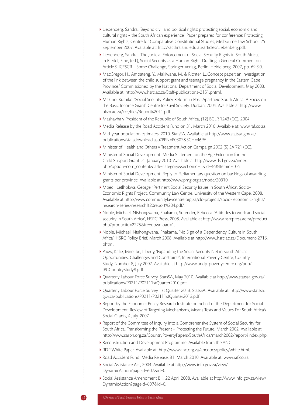- Liebenberg, Sandra, 'Beyond civil and political rights: protecting social, economic and cultural rights – the South African experience', Paper prepared for conference: Protecting Human Rights, Centre for Comparative Constitutional Studies, Melbourne Law School, 25 September 2007. Available at: http://acthra.anu.edu.au/articles/Liebenberg.pdf.
- Liebenberg, Sandra, 'The Judicial Enforcement of Social Security Rights in South Africa', in Riedel, Eibe, (ed.), Social Security as a Human Right: Drafting a General Comment on Article 9 ICESCR – Some Challenge, Springer-Verlag, Berlin, Heidelberg, 2007, pp. 69-90.
- MacGregor, H., Amoateng, Y., Makiwane, M. & Richter, L.,'Concept paper: an investigation of the link between the child support grant and teenage pregnancy in the Eastern Cape Province,' Commissioned by the National Department of Social Development, May 2003. Available at: http://www.hsrc.ac.za/Staff-publications-2151.phtml.
- Makino, Kumiko, 'Social Security Policy Reform in Post-Apartheid South Africa: A Focus on the Basic Income Grant', Centre for Civil Society, Durban, 2004. Available at http://www. ukzn.ac.za/ccs/files/Report%2011.pdf.
- Mashavha v President of the Republic of South Africa, (12) BCLR 1243 (CC), 2004.
- Media Release by the Road Accident Fund on 31. March 2010. Available at: www.raf.co.za.
- Mid-year population estimates, 2010, StatsSA. Available at http://www.statssa.gov.za/ publications/statsdownload.asp?PPN=P0302&SCH=4696 .
- Minister of Health and Others v Treatment Action Campaign 2002 (5) SA 721 (CC).
- Minister of Social Development. Media Statement on the Age Extension for the Child Support Grant, 21 January 2010. Available at http://www.dsd.gov.za/index. php?option=com\_content&task=category&sectionid=1&id=46&Itemid=106.
- Minister of Social Development. Reply to Parliamentary question on backlogs of awarding grants per province. Available at http://www.pmg.org.za/node/20310.
- Mpedi, Letlhokwa, George, 'Pertinent Social Security Issues in South Africa', Socio-Economic Rights Project, Community Law Centre, University of the Western Cape, 2008. Available at http://www.communitylawcentre.org.za/clc-projects/socio- economic-rights/ research-series/research%20report%204.pdf/.
- Noble, Michael, Ntshongwana, Phakama, Surender, Rebecca, 'Attitudes to work and social security in South Africa', HSRC Press, 2008. Available at http://www.hsrcpress.ac.za/product. php?productid=2225&freedownload=1.
- Noble, Michael, Ntshongwana, Phakama, 'No Sign of a Dependency Culture in South Africa', HSRC Policy Brief, March 2008. Available at http://www.hsrc.ac.za/Document-2716. phtml.
- Pauw, Kalie, Mncube, Liberty, 'Expanding the Social Security Net in South Africa: Opportunities, Challenges and Constraints', International Poverty Centre, Country Study, Number 8, July 2007. Available at http://www.undp-povertycentre.org/pub/ IPCCountryStudy8.pdf.
- Quarterly Labour Force Survey, StatsSA, May 2010. Available at http://www.statssa.gov.za/ publications/P0211/P02111stQuarter2010.pdf.
- Quarterly Labour Force Survey, 1st Quarter 2013, StatsSA, Available at: http://www.statssa. gov.za/publications/P0211/P02111stQuarter2013.pdf
- ▶ Report by the Economic Policy Research Institute on behalf of the Department for Social Development: Review of Targeting Mechanisms, Means Tests and Values For South Africa's Social Grants, 4 July, 2007
- Report of the Committee of Inquiry into a Comprehensive System of Social Security for South Africa, Transforming the Present – Protecting the Future, March 2002. Available at http://www.sarpn.org.za/CountryPovertyPapers/SouthAfrica/march2002/report/i ndex.php.
- Reconstruction and Development Programme. Available from the ANC.
- RDP White Paper. Available at: http://www.anc.org.za/ancdocs/policy/white.html.
- Road Accident Fund, Media Release, 31. March 2010. Available at: www.raf.co.za.
- Social Assistance Act, 2004. Available at http://www.info.gov.za/view/ DynamicAction?pageid=607&id=0.
- Social Assistance Amendment Bill, 22 April 2008. Available at http://www.info.gov.za/view/ DynamicAction?pageid=607&id=0.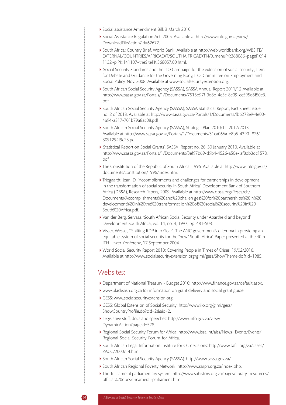- Social assistance Amendment Bill, 3 March 2010.
- Social Assistance Regulation Act, 2005. Available at http://www.info.gov.za/view/ DownloadFileAction?id=62672.
- South Africa: Country Brief. World Bank. Available at http://web.worldbank.org/WBSITE/ EXTERNAL/COUNTRIES/AFRICAEXT/SOUTHA FRICAEXTN/0,,menuPK:368086~pagePK:14 1132~piPK:141107~theSitePK:368057,00.html.
- 'Social Security Standards and the ILO Campaign for the extension of social security', Item for Debate and Guidance for the Governing Body, ILO, Committee on Employment and Social Policy, Nov. 2008. Available at www.socialsecurityextension.org.
- South African Social Security Agency (SASSA), SASSA Annual Report 2011/12 Available at http://www.sassa.gov.za/Portals/1/Documents/7515b97f-9d8b-4c5c-8e09-cc595d6f50e3. pdf
- South African Social Security Agency (SASSA), SASSA Statistical Report, Fact Sheet: issue no. 2 of 2013, Available at http://www.sassa.gov.za/Portals/1/Documents/fb6278e9-4e00- 4a94-a317-701b79a8ac08.pdf
- South African Social Security Agency (SASSA), Strategic Plan 2010/11-2012/2013. Available at http://www.sassa.gov.za/Portals/1/Documents/51ca066a-e8b5-4390- 8261- 3091294f9c23.pdf.
- 'Statistical Report on Social Grants', SASSA, Report no. 26, 30 January 2010. Available at http://www.sassa.gov.za/Portals/1/Documents/3ef97b69-d9b4-4526-a50e- af8db3dc1578. pdf.
- The Constitution of the Republic of South Africa, 1996. Available at http://www.info.gov.za/ documents/constitution/1996/index.htm.
- Triegaardt, Jean, D., 'Accomplishments and challenges for partnerships in development in the transformation of social security in South Africa', Development Bank of Southern Africa (DBSA), Research Papers, 2009. Available at http://www.dbsa.org/Research/ Documents/Accomplishments%20and%20challen ges%20for%20partnerships%20in%20 development%20in%20the%20transformat ion%20of%20social%20security%20in%20 South%20Africa.pdf.
- Van der Berg, Servaas, 'South African Social Security under Apartheid and beyond', Development South Africa, vol. 14, no. 4, 1997, pp. 481-503.
- Visser, Wessel, '"Shifting RDP into Gear". The ANC government's dilemma in providing an equitable system of social security for the "new" South Africa', Paper presented at the 40th ITH Linzer Konferenz, 17 September 2004
- World Social Security Report 2010: Covering People in Times of Crises, 19/02/2010. Available at http://www.socialsecurityextension.org/gimi/gess/ShowTheme.do?tid=1985.

## Websites:

- Department of National Treasury Budget 2010: http://www.finance.gov.za/default.aspx.
- www.blacksash.org.za for information on grant delivery and social grant guide.
- GESS: www.socialsecurityextension.org
- GESS: Global Extension of Social Security: http://www.ilo.org/gimi/gess/ ShowCountryProfile.do?cid=2&aid=2.
- Legislative stuff, docs and speeches: http://www.info.gov.za/view/ DynamicAction?pageid=528.
- Regional Social Security Forum for Africa: http://www.issa.int/aiss/News- Events/Events/ Regional-Social-Security-Forum-for-Africa.
- South African Legal Information Institute for CC decisions: http://www.saflii.org/za/cases/ ZACC/2000/14.html.
- South African Social Security Agency (SASSA): http://www.sassa.gov.za/.
- South African Regional Poverty Network: http://www.sarpn.org.za/index.php.
- The Tri-cameral parliamentary system: http://www.sahistory.org.za/pages/library- resources/ official%20docs/tricameral-parliament.htm